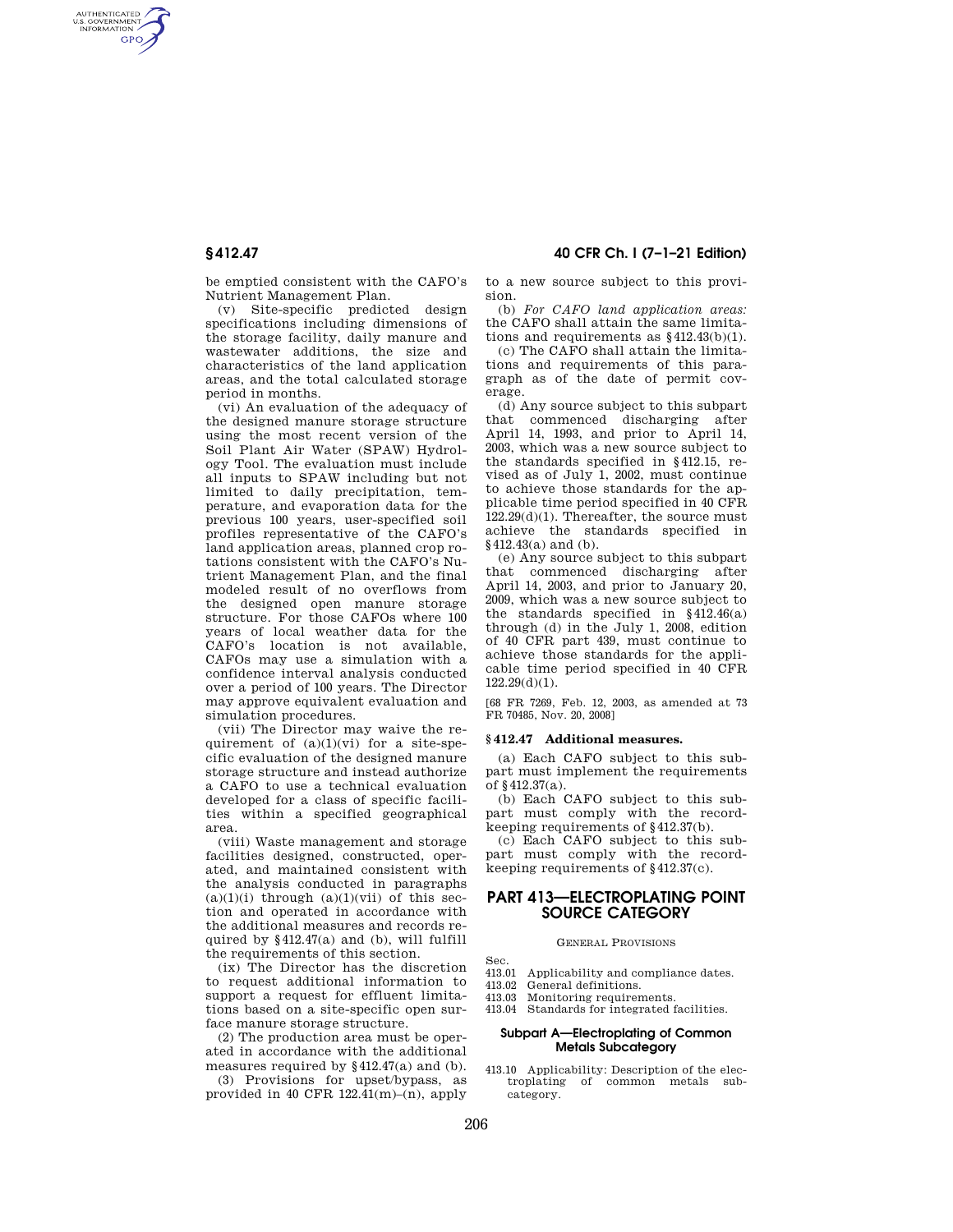AUTHENTICATED<br>U.S. GOVERNMENT<br>INFORMATION **GPO** 

**§ 412.47 40 CFR Ch. I (7–1–21 Edition)** 

be emptied consistent with the CAFO's Nutrient Management Plan.

(v) Site-specific predicted design specifications including dimensions of the storage facility, daily manure and wastewater additions, the size and characteristics of the land application areas, and the total calculated storage period in months.

(vi) An evaluation of the adequacy of the designed manure storage structure using the most recent version of the Soil Plant Air Water (SPAW) Hydrology Tool. The evaluation must include all inputs to SPAW including but not limited to daily precipitation, temperature, and evaporation data for the previous 100 years, user-specified soil profiles representative of the CAFO's land application areas, planned crop rotations consistent with the CAFO's Nutrient Management Plan, and the final modeled result of no overflows from the designed open manure storage structure. For those CAFOs where 100 years of local weather data for the CAFO's location is not available, CAFOs may use a simulation with a confidence interval analysis conducted over a period of 100 years. The Director may approve equivalent evaluation and simulation procedures.

(vii) The Director may waive the requirement of  $(a)(1)(vi)$  for a site-specific evaluation of the designed manure storage structure and instead authorize a CAFO to use a technical evaluation developed for a class of specific facilities within a specified geographical area.

(viii) Waste management and storage facilities designed, constructed, operated, and maintained consistent with the analysis conducted in paragraphs  $(a)(1)(i)$  through  $(a)(1)(vii)$  of this section and operated in accordance with the additional measures and records required by §412.47(a) and (b), will fulfill the requirements of this section.

(ix) The Director has the discretion to request additional information to support a request for effluent limitations based on a site-specific open surface manure storage structure.

(2) The production area must be operated in accordance with the additional measures required by §412.47(a) and (b).

(3) Provisions for upset/bypass, as provided in 40 CFR  $122.41(m)-(n)$ , apply to a new source subject to this provision.

(b) *For CAFO land application areas:*  the CAFO shall attain the same limitations and requirements as §412.43(b)(1).

(c) The CAFO shall attain the limitations and requirements of this paragraph as of the date of permit coverage.

(d) Any source subject to this subpart that commenced discharging after April 14, 1993, and prior to April 14, 2003, which was a new source subject to the standards specified in §412.15, revised as of July 1, 2002, must continue to achieve those standards for the applicable time period specified in 40 CFR 122.29(d)(1). Thereafter, the source must achieve the standards specified in §412.43(a) and (b).

(e) Any source subject to this subpart that commenced discharging after April 14, 2003, and prior to January 20, 2009, which was a new source subject to the standards specified in §412.46(a) through (d) in the July 1, 2008, edition of 40 CFR part 439, must continue to achieve those standards for the applicable time period specified in 40 CFR  $122.29(d)(1)$ .

[68 FR 7269, Feb. 12, 2003, as amended at 73 FR 70485, Nov. 20, 2008]

### **§ 412.47 Additional measures.**

(a) Each CAFO subject to this subpart must implement the requirements of §412.37(a).

(b) Each CAFO subject to this subpart must comply with the recordkeeping requirements of §412.37(b).

(c) Each CAFO subject to this subpart must comply with the recordkeeping requirements of §412.37(c).

# **PART 413—ELECTROPLATING POINT SOURCE CATEGORY**

GENERAL PROVISIONS

Sec.

- 413.01 Applicability and compliance dates.
- 413.02 General definitions.
- 413.03 Monitoring requirements.
- 413.04 Standards for integrated facilities.

## **Subpart A—Electroplating of Common Metals Subcategory**

413.10 Applicability: Description of the electroplating of common metals subcategory.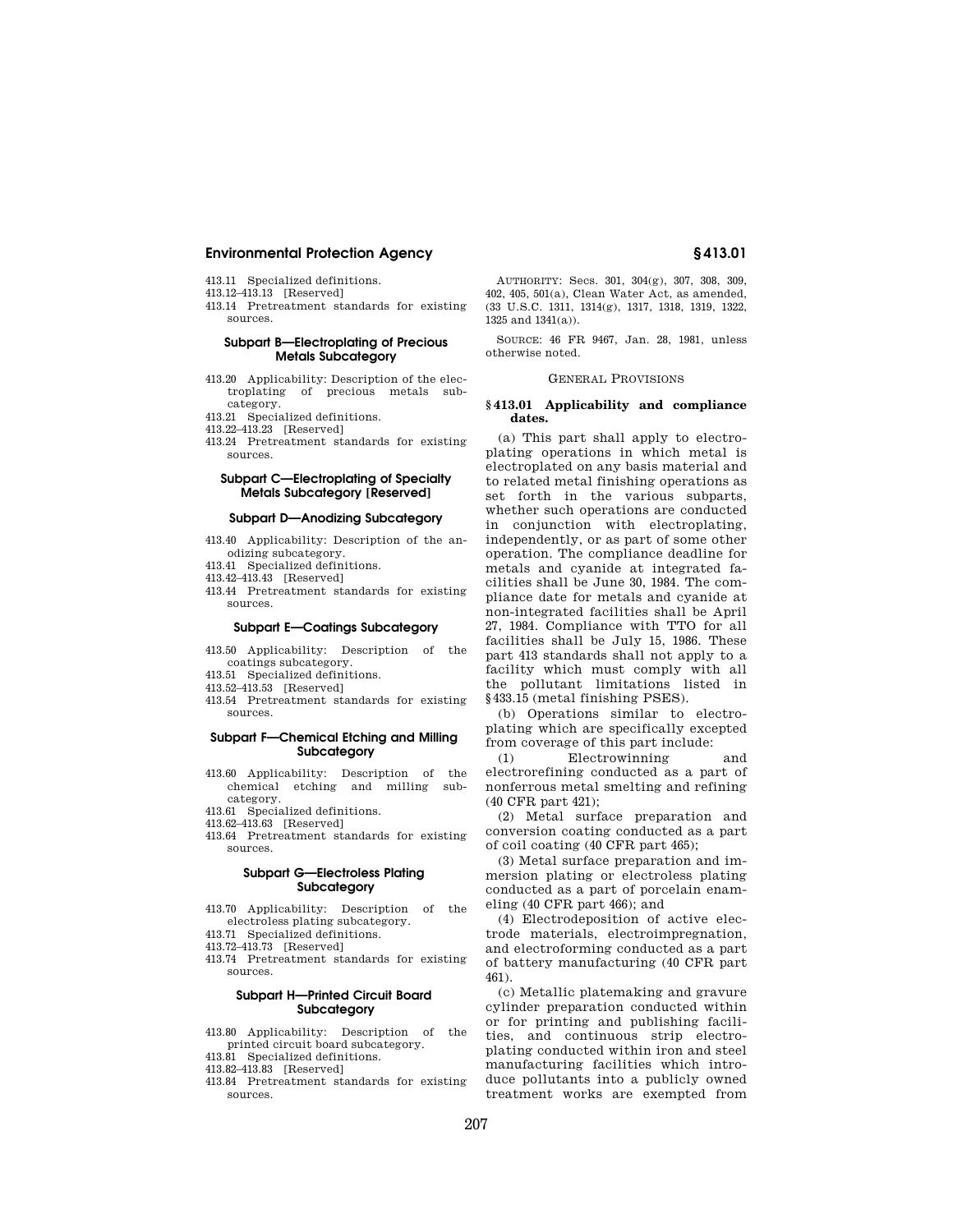- 413.11 Specialized definitions.
- 413.12–413.13 [Reserved]
- 413.14 Pretreatment standards for existing sources.

## **Subpart B—Electroplating of Precious Metals Subcategory**

- 413.20 Applicability: Description of the electroplating of precious metals subcategory.
- 413.21 Specialized definitions.
- 413.22–413.23 [Reserved]
- 413.24 Pretreatment standards for existing sources.

# **Subpart C—Electroplating of Specialty Metals Subcategory [Reserved]**

## **Subpart D—Anodizing Subcategory**

- 413.40 Applicability: Description of the anodizing subcategory.
- 413.41 Specialized definitions.
- 413.42–413.43 [Reserved]
- 413.44 Pretreatment standards for existing sources.

#### **Subpart E—Coatings Subcategory**

- 413.50 Applicability: Description of the coatings subcategory.
- 413.51 Specialized definitions.
- 413.52–413.53 [Reserved]
- 413.54 Pretreatment standards for existing sources.

## **Subpart F—Chemical Etching and Milling Subcategory**

- 413.60 Applicability: Description of the chemical etching and milling subcategory.
- 413.61 Specialized definitions.
- 413.62–413.63 [Reserved]
- 413.64 Pretreatment standards for existing sources.

## **Subpart G—Electroless Plating Subcategory**

413.70 Applicability: Description of the electroless plating subcategory.

413.71 Specialized definitions.

- 413.72–413.73 [Reserved]
- 413.74 Pretreatment standards for existing sources.

## **Subpart H—Printed Circuit Board Subcategory**

- 413.80 Applicability: Description of the printed circuit board subcategory.
- 413.81 Specialized definitions.
- 413.82–413.83 [Reserved]
- 413.84 Pretreatment standards for existing sources.

AUTHORITY: Secs. 301, 304(g), 307, 308, 309, 402, 405, 501(a), Clean Water Act, as amended, (33 U.S.C. 1311, 1314(g), 1317, 1318, 1319, 1322, 1325 and 1341(a)).

SOURCE: 46 FR 9467, Jan. 28, 1981, unless otherwise noted.

#### GENERAL PROVISIONS

#### **§ 413.01 Applicability and compliance dates.**

(a) This part shall apply to electroplating operations in which metal is electroplated on any basis material and to related metal finishing operations as set forth in the various subparts, whether such operations are conducted in conjunction with electroplating, independently, or as part of some other operation. The compliance deadline for metals and cyanide at integrated facilities shall be June 30, 1984. The compliance date for metals and cyanide at non-integrated facilities shall be April 27, 1984. Compliance with TTO for all facilities shall be July 15, 1986. These part 413 standards shall not apply to a facility which must comply with all the pollutant limitations listed in §433.15 (metal finishing PSES).

(b) Operations similar to electroplating which are specifically excepted from coverage of this part include:

(1) Electrowinning and electrorefining conducted as a part of nonferrous metal smelting and refining (40 CFR part 421);

(2) Metal surface preparation and conversion coating conducted as a part of coil coating (40 CFR part 465);

(3) Metal surface preparation and immersion plating or electroless plating conducted as a part of porcelain enameling (40 CFR part 466); and

(4) Electrodeposition of active electrode materials, electroimpregnation, and electroforming conducted as a part of battery manufacturing (40 CFR part 461).

(c) Metallic platemaking and gravure cylinder preparation conducted within or for printing and publishing facilities, and continuous strip electroplating conducted within iron and steel manufacturing facilities which introduce pollutants into a publicly owned treatment works are exempted from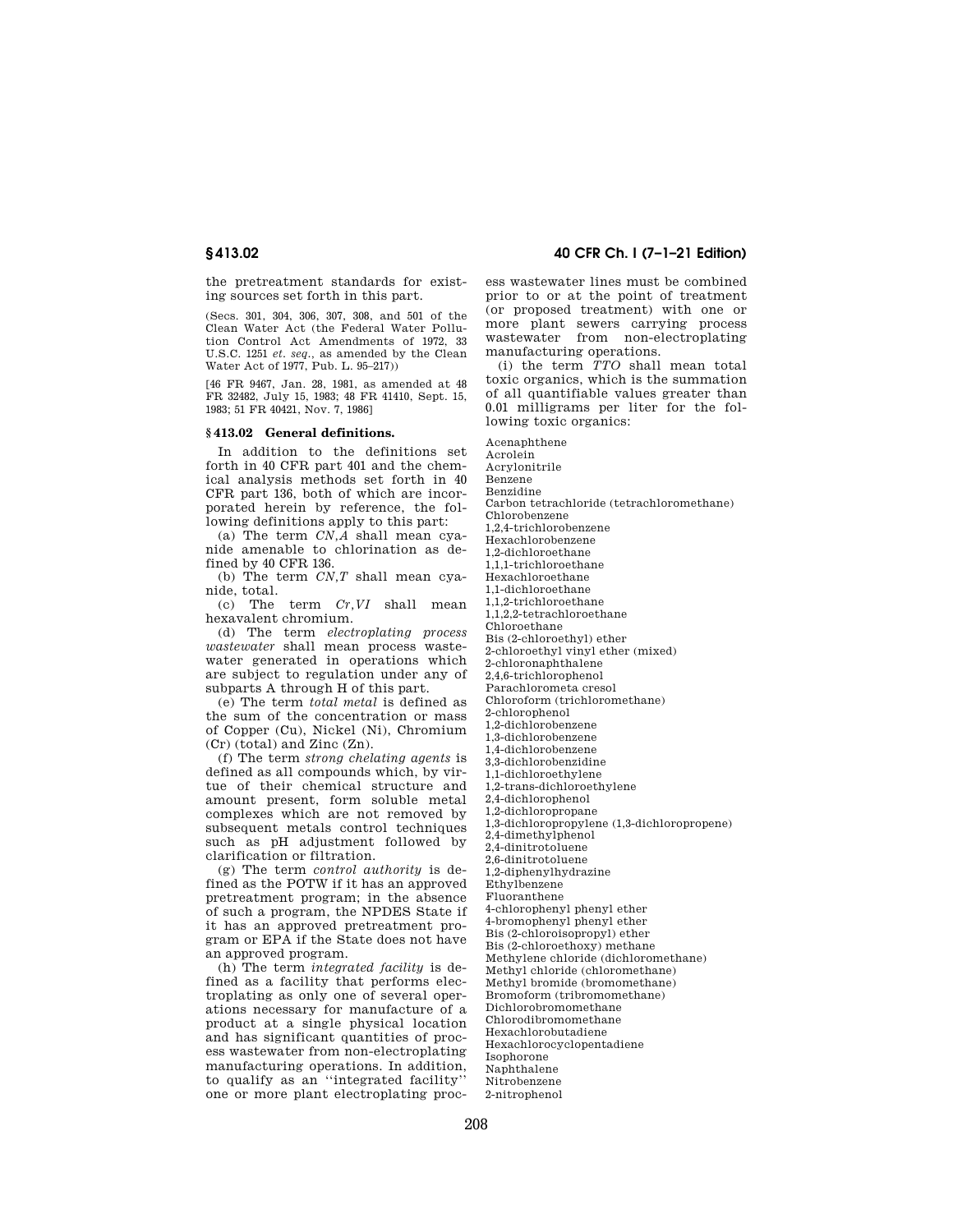the pretreatment standards for existing sources set forth in this part.

(Secs. 301, 304, 306, 307, 308, and 501 of the Clean Water Act (the Federal Water Pollution Control Act Amendments of 1972, 33 U.S.C. 1251 *et. seq.,* as amended by the Clean Water Act of 1977, Pub. L. 95–217))

[46 FR 9467, Jan. 28, 1981, as amended at 48 FR 32482, July 15, 1983; 48 FR 41410, Sept. 15, 1983; 51 FR 40421, Nov. 7, 1986]

# **§ 413.02 General definitions.**

In addition to the definitions set forth in 40 CFR part 401 and the chemical analysis methods set forth in 40 CFR part 136, both of which are incorporated herein by reference, the following definitions apply to this part:

(a) The term *CN,A* shall mean cyanide amenable to chlorination as defined by 40 CFR 136.

(b) The term *CN,T* shall mean cyanide, total.

(c) The term *Cr,VI* shall mean hexavalent chromium.

(d) The term *electroplating process wastewater* shall mean process wastewater generated in operations which are subject to regulation under any of subparts A through H of this part.

(e) The term *total metal* is defined as the sum of the concentration or mass of Copper (Cu), Nickel (Ni), Chromium (Cr) (total) and Zinc (Zn).

(f) The term *strong chelating agents* is defined as all compounds which, by virtue of their chemical structure and amount present, form soluble metal complexes which are not removed by subsequent metals control techniques such as pH adjustment followed by clarification or filtration.

(g) The term *control authority* is defined as the POTW if it has an approved pretreatment program; in the absence of such a program, the NPDES State if it has an approved pretreatment program or EPA if the State does not have an approved program.

(h) The term *integrated facility* is defined as a facility that performs electroplating as only one of several operations necessary for manufacture of a product at a single physical location and has significant quantities of process wastewater from non-electroplating manufacturing operations. In addition, to qualify as an ''integrated facility'' one or more plant electroplating proc-

**§ 413.02 40 CFR Ch. I (7–1–21 Edition)** 

ess wastewater lines must be combined prior to or at the point of treatment (or proposed treatment) with one or more plant sewers carrying process wastewater from non-electroplating manufacturing operations.

(i) the term *TTO* shall mean total toxic organics, which is the summation of all quantifiable values greater than 0.01 milligrams per liter for the following toxic organics:

Acenaphthene Acrolein Acrylonitrile Benzene Benzidine Carbon tetrachloride (tetrachloromethane) Chlorobenzene 1,2,4-trichlorobenzene Hexachlorobenzene 1,2-dichloroethane 1,1,1-trichloroethane Hexachloroethane 1,1-dichloroethane 1,1,2-trichloroethane 1,1,2,2-tetrachloroethane Chloroethane Bis (2-chloroethyl) ether 2-chloroethyl vinyl ether (mixed) 2-chloronaphthalene 2,4,6-trichlorophenol Parachlorometa cresol Chloroform (trichloromethane) 2-chlorophenol 1,2-dichlorobenzene 1,3-dichlorobenzene 1,4-dichlorobenzene 3,3-dichlorobenzidine 1,1-dichloroethylene 1,2-trans-dichloroethylene 2,4-dichlorophenol 1,2-dichloropropane 1,3-dichloropropylene (1,3-dichloropropene) 2,4-dimethylphenol 2,4-dinitrotoluene 2,6-dinitrotoluene 1,2-diphenylhydrazine Ethylbenzene Fluoranthene 4-chlorophenyl phenyl ether 4-bromophenyl phenyl ether Bis (2-chloroisopropyl) ether Bis (2-chloroethoxy) methane Methyl bromide (bromomethane) Bromoform (tribromomethane) Dichlorobromomethane Chlorodibromomethane

Methylene chloride (dichloromethane)

Methyl chloride (chloromethane)

Hexachlorobutadiene

Hexachlorocyclopentadiene

Isophorone

Naphthalene

Nitrobenzene

2-nitrophenol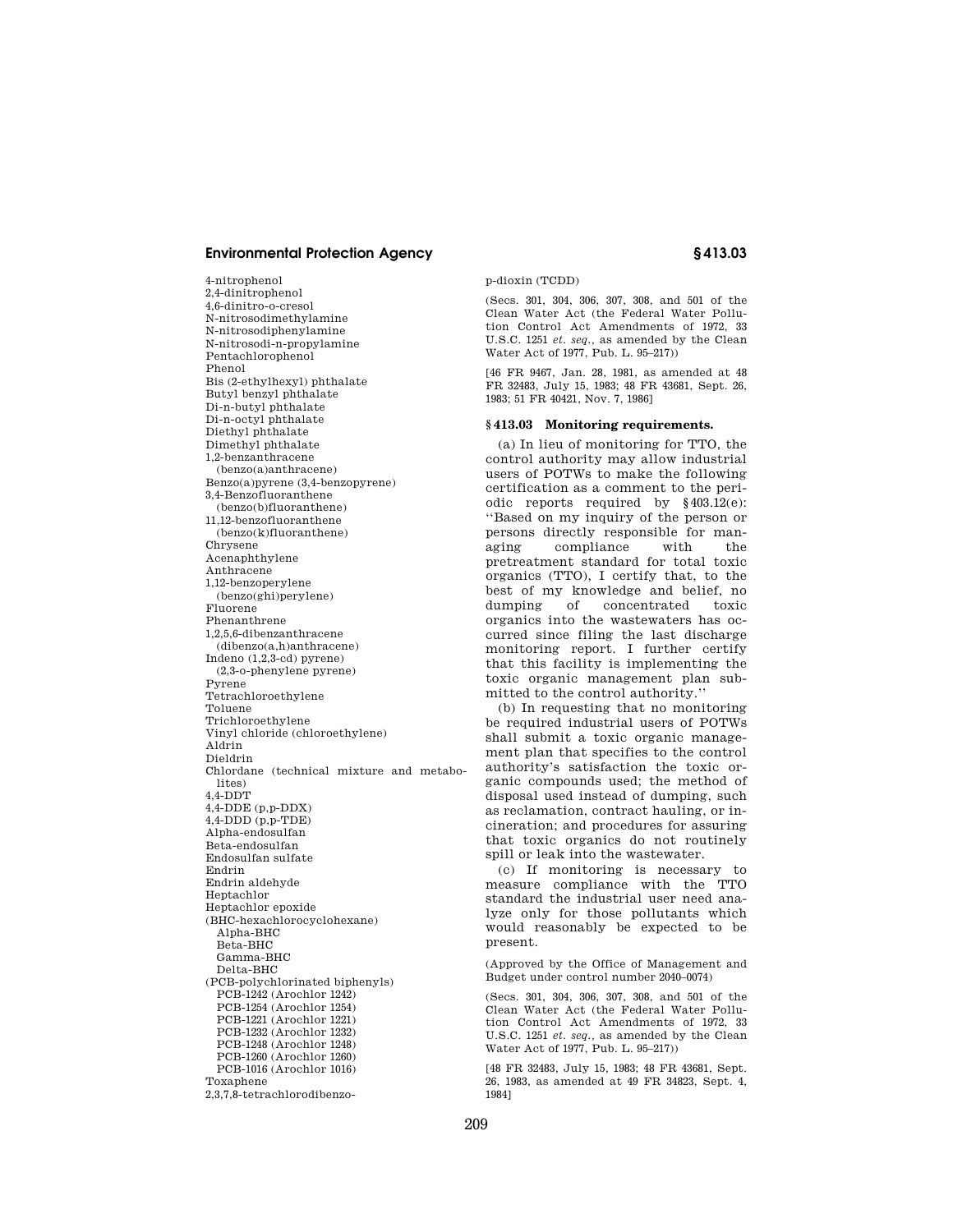4-nitrophenol 2,4-dinitrophenol 4,6-dinitro-o-cresol N-nitrosodimethylamine N-nitrosodiphenylamine N-nitrosodi-n-propylamine Pentachlorophenol Phenol Bis (2-ethylhexyl) phthalate Butyl benzyl phthalate Di-n-butyl phthalate Di-n-octyl phthalate Diethyl phthalate Dimethyl phthalate 1,2-benzanthracene (benzo(a)anthracene) Benzo(a)pyrene (3,4-benzopyrene) 3,4-Benzofluoranthene (benzo(b)fluoranthene) 11,12-benzofluoranthene (benzo(k)fluoranthene) Chrysene Acenaphthylene Anthracene 1,12-benzoperylene (benzo(ghi)perylene) Fluorene Phenanthrene 1,2,5,6-dibenzanthracene (dibenzo(a,h)anthracene) Indeno (1,2,3-cd) pyrene) (2,3-o-phenylene pyrene) Pyrene Tetrachloroethylene Toluene Trichloroethylene Vinyl chloride (chloroethylene) Aldrin Dieldrin Chlordane (technical mixture and metabolites) 4,4-DDT 4,4-DDE (p,p-DDX) 4,4-DDD (p,p-TDE) Alpha-endosulfan Beta-endosulfan Endosulfan sulfate Endrin Endrin aldehyde Heptachlor Heptachlor epoxide (BHC-hexachlorocyclohexane) Alpha-BHC Beta-BHC Gamma-BHC Delta-BHC (PCB-polychlorinated biphenyls) PCB-1242 (Arochlor 1242) PCB-1254 (Arochlor 1254) PCB-1221 (Arochlor 1221) PCB-1232 (Arochlor 1232) PCB-1248 (Arochlor 1248) PCB-1260 (Arochlor 1260) PCB-1016 (Arochlor 1016) Toxaphene 2,3,7,8-tetrachlorodibenzop-dioxin (TCDD)

(Secs. 301, 304, 306, 307, 308, and 501 of the Clean Water Act (the Federal Water Pollution Control Act Amendments of 1972, 33 U.S.C. 1251 *et. seq.,* as amended by the Clean Water Act of 1977, Pub. L. 95–217))

[46 FR 9467, Jan. 28, 1981, as amended at 48 FR 32483, July 15, 1983; 48 FR 43681, Sept. 26, 1983; 51 FR 40421, Nov. 7, 1986]

## **§ 413.03 Monitoring requirements.**

(a) In lieu of monitoring for TTO, the control authority may allow industrial users of POTWs to make the following certification as a comment to the periodic reports required by §403.12(e): ''Based on my inquiry of the person or persons directly responsible for managing compliance with the pretreatment standard for total toxic organics (TTO), I certify that, to the best of my knowledge and belief, no dumping of concentrated toxic organics into the wastewaters has occurred since filing the last discharge monitoring report. I further certify that this facility is implementing the toxic organic management plan submitted to the control authority.''

(b) In requesting that no monitoring be required industrial users of POTWs shall submit a toxic organic management plan that specifies to the control authority's satisfaction the toxic organic compounds used; the method of disposal used instead of dumping, such as reclamation, contract hauling, or incineration; and procedures for assuring that toxic organics do not routinely spill or leak into the wastewater.

(c) If monitoring is necessary to measure compliance with the TTO standard the industrial user need analyze only for those pollutants which would reasonably be expected to be present.

(Approved by the Office of Management and Budget under control number 2040–0074)

(Secs. 301, 304, 306, 307, 308, and 501 of the Clean Water Act (the Federal Water Pollution Control Act Amendments of 1972, 33 U.S.C. 1251 *et. seq.,* as amended by the Clean Water Act of 1977, Pub. L. 95–217))

[48 FR 32483, July 15, 1983; 48 FR 43681, Sept. 26, 1983, as amended at 49 FR 34823, Sept. 4, 1984]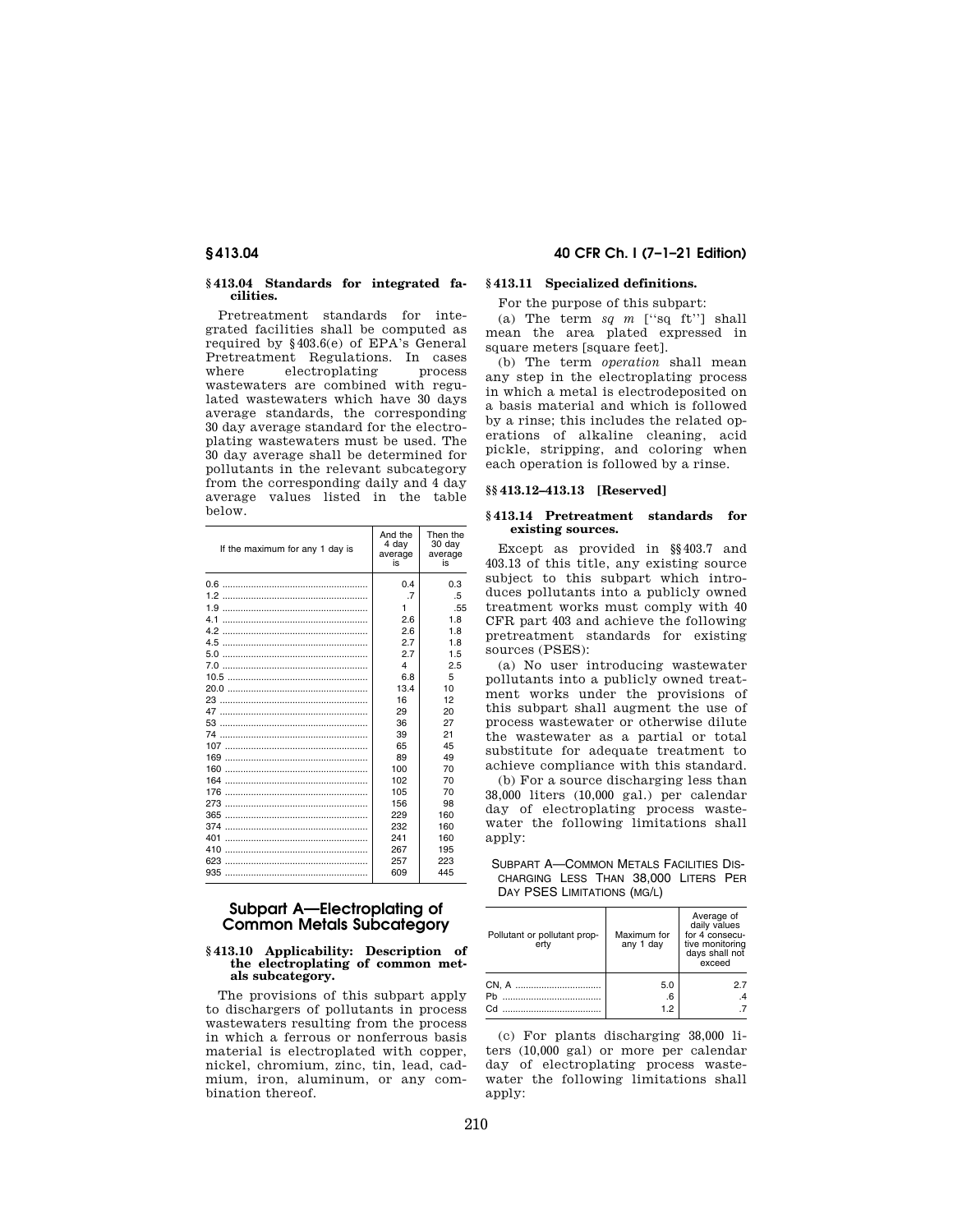## **§ 413.04 Standards for integrated facilities.**

Pretreatment standards for integrated facilities shall be computed as required by §403.6(e) of EPA's General Pretreatment Regulations. In cases where electroplating wastewaters are combined with regulated wastewaters which have 30 days average standards, the corresponding 30 day average standard for the electroplating wastewaters must be used. The 30 day average shall be determined for pollutants in the relevant subcategory from the corresponding daily and 4 day average values listed in the table below.

| If the maximum for any 1 day is | And the<br>4 day<br>average<br>is | Then the<br>30 day<br>average<br>is |
|---------------------------------|-----------------------------------|-------------------------------------|
|                                 | 0.4                               | 0.3                                 |
|                                 | .7                                | .5                                  |
|                                 | 1                                 | .55                                 |
| 41                              | 2.6                               | 1.8                                 |
|                                 | 2.6                               | 1.8                                 |
| 4.5                             | 2.7                               | 1.8                                 |
|                                 | 2.7                               | 1.5                                 |
|                                 | 4                                 | 2.5                                 |
|                                 | 6.8                               | 5                                   |
|                                 | 13.4                              | 10                                  |
| 23                              | 16                                | 12                                  |
|                                 | 29                                | 20                                  |
| 53                              | 36                                | 27                                  |
| 74                              | 39                                | 21                                  |
| 107                             | 65                                | 45                                  |
| 169                             | 89                                | 49                                  |
|                                 | 100                               | 70                                  |
| 164                             | 102                               | 70                                  |
| 176                             | 105                               | 70                                  |
| 273                             | 156                               | 98                                  |
| 365                             | 229                               | 160                                 |
| 374                             | 232                               | 160                                 |
| 401                             | 241                               | 160                                 |
| 410                             | 267                               | 195                                 |
| 623                             | 257                               | 223                                 |
|                                 | 609                               | 445                                 |

# **Subpart A—Electroplating of Common Metals Subcategory**

### **§ 413.10 Applicability: Description of the electroplating of common metals subcategory.**

The provisions of this subpart apply to dischargers of pollutants in process wastewaters resulting from the process in which a ferrous or nonferrous basis material is electroplated with copper, nickel, chromium, zinc, tin, lead, cadmium, iron, aluminum, or any combination thereof.

# **§ 413.04 40 CFR Ch. I (7–1–21 Edition)**

# **§ 413.11 Specialized definitions.**

For the purpose of this subpart:

(a) The term *sq m* [''sq ft''] shall mean the area plated expressed in square meters [square feet].

(b) The term *operation* shall mean any step in the electroplating process in which a metal is electrodeposited on a basis material and which is followed by a rinse; this includes the related operations of alkaline cleaning, acid pickle, stripping, and coloring when each operation is followed by a rinse.

## **§§ 413.12–413.13 [Reserved]**

## **§ 413.14 Pretreatment standards for existing sources.**

Except as provided in §§403.7 and 403.13 of this title, any existing source subject to this subpart which introduces pollutants into a publicly owned treatment works must comply with 40 CFR part 403 and achieve the following pretreatment standards for existing sources (PSES):

(a) No user introducing wastewater pollutants into a publicly owned treatment works under the provisions of this subpart shall augment the use of process wastewater or otherwise dilute the wastewater as a partial or total substitute for adequate treatment to achieve compliance with this standard.

(b) For a source discharging less than 38,000 liters (10,000 gal.) per calendar day of electroplating process wastewater the following limitations shall apply:

## SUBPART A—COMMON METALS FACILITIES DIS-CHARGING LESS THAN 38,000 LITERS PER DAY PSES LIMITATIONS (MG/L)

| Pollutant or pollutant prop-<br>ertv | Maximum for<br>any 1 day | Average of<br>daily values<br>for 4 consecu-<br>tive monitoring<br>days shall not<br>exceed |
|--------------------------------------|--------------------------|---------------------------------------------------------------------------------------------|
| Ph.<br>Cd.                           | 5.0<br>.6<br>1.2         | 27                                                                                          |

(c) For plants discharging 38,000 liters (10,000 gal) or more per calendar day of electroplating process wastewater the following limitations shall apply: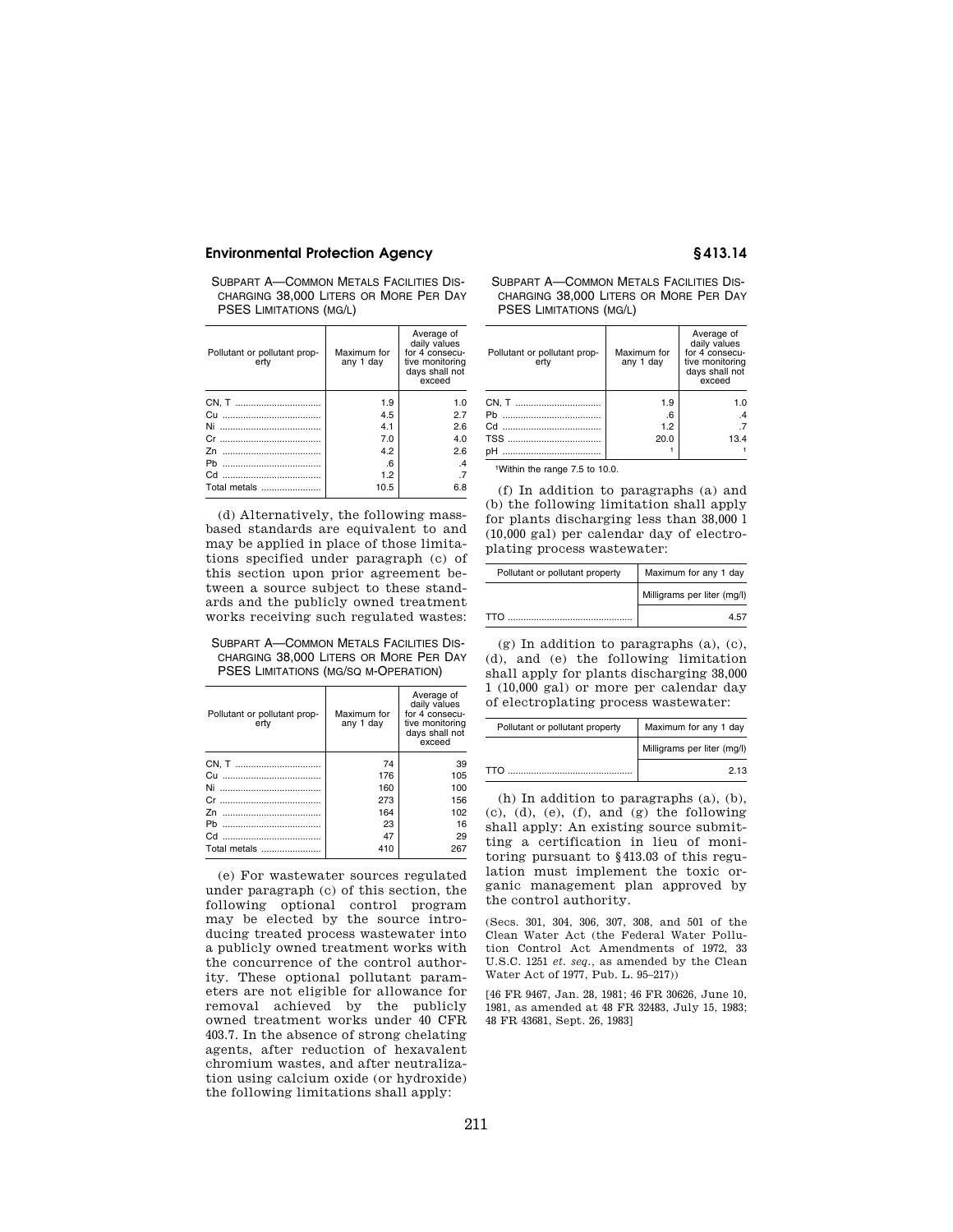SUBPART A—COMMON METALS FACILITIES DIS-CHARGING 38,000 LITERS OR MORE PER DAY PSES LIMITATIONS (MG/L)

| Pollutant or pollutant prop-<br>ertv | Maximum for<br>any 1 day | Average of<br>daily values<br>for 4 consecu-<br>tive monitoring<br>days shall not<br>exceed |
|--------------------------------------|--------------------------|---------------------------------------------------------------------------------------------|
|                                      | 1.9                      | 1.0                                                                                         |
|                                      | 4.5                      | 2.7                                                                                         |
| Ni<br>                               | 4.1                      | 2.6                                                                                         |
|                                      | 7.0                      | 4.0                                                                                         |
|                                      | 4.2                      | 2.6                                                                                         |
|                                      | 6.6                      | $\mathcal{A}$                                                                               |
|                                      | 1.2                      | .7                                                                                          |
| Total metals                         | 10.5                     | 6.8                                                                                         |

(d) Alternatively, the following massbased standards are equivalent to and may be applied in place of those limitations specified under paragraph (c) of this section upon prior agreement between a source subject to these standards and the publicly owned treatment works receiving such regulated wastes:

SUBPART A—COMMON METALS FACILITIES DIS-CHARGING 38,000 LITERS OR MORE PER DAY PSES LIMITATIONS (MG/SQ M-OPERATION)

| Pollutant or pollutant prop-<br>ertv | Maximum for<br>any 1 day | Average of<br>daily values<br>for 4 consecu-<br>tive monitoring<br>days shall not<br>exceed |
|--------------------------------------|--------------------------|---------------------------------------------------------------------------------------------|
|                                      | 74                       | 39                                                                                          |
| Сu                                   | 176                      | 105                                                                                         |
|                                      | 160                      | 100                                                                                         |
|                                      | 273                      | 156                                                                                         |
| 7n<br>                               | 164                      | 102                                                                                         |
| <b>Ph</b>                            | 23                       | 16                                                                                          |
|                                      | 47                       | 29                                                                                          |
| Total metals                         | 410                      | 267                                                                                         |

(e) For wastewater sources regulated under paragraph (c) of this section, the following optional control program may be elected by the source introducing treated process wastewater into a publicly owned treatment works with the concurrence of the control authority. These optional pollutant parameters are not eligible for allowance for removal achieved by the publicly owned treatment works under 40 CFR 403.7. In the absence of strong chelating agents, after reduction of hexavalent chromium wastes, and after neutralization using calcium oxide (or hydroxide) the following limitations shall apply:

SUBPART A—COMMON METALS FACILITIES DIS-CHARGING 38,000 LITERS OR MORE PER DAY PSES LIMITATIONS (MG/L)

| Pollutant or pollutant prop-<br>ertv | Maximum for<br>any 1 day | Average of<br>daily values<br>for 4 consecu-<br>tive monitoring<br>days shall not<br>exceed |
|--------------------------------------|--------------------------|---------------------------------------------------------------------------------------------|
|                                      | 1.9                      | 1.0                                                                                         |
|                                      | .6                       |                                                                                             |
|                                      | 1.2                      |                                                                                             |
|                                      | 20.0                     | 13.4                                                                                        |
|                                      |                          |                                                                                             |

1Within the range 7.5 to 10.0.

(f) In addition to paragraphs (a) and (b) the following limitation shall apply for plants discharging less than 38,000 l (10,000 gal) per calendar day of electroplating process wastewater:

| Pollutant or pollutant property | Maximum for any 1 day       |
|---------------------------------|-----------------------------|
|                                 | Milligrams per liter (mg/l) |
| TTO                             | 4.57                        |

(g) In addition to paragraphs (a), (c), (d), and (e) the following limitation shall apply for plants discharging 38,000 1 (10,000 gal) or more per calendar day of electroplating process wastewater:

| Pollutant or pollutant property | Maximum for any 1 day       |  |
|---------------------------------|-----------------------------|--|
|                                 | Milligrams per liter (mg/l) |  |
| TTN                             | 2 13                        |  |

(h) In addition to paragraphs (a), (b), (c), (d), (e), (f), and (g) the following shall apply: An existing source submitting a certification in lieu of monitoring pursuant to §413.03 of this regulation must implement the toxic organic management plan approved by the control authority.

(Secs. 301, 304, 306, 307, 308, and 501 of the Clean Water Act (the Federal Water Pollution Control Act Amendments of 1972, 33 U.S.C. 1251 *et. seq.,* as amended by the Clean Water Act of 1977, Pub. L. 95–217))

[46 FR 9467, Jan. 28, 1981; 46 FR 30626, June 10, 1981, as amended at 48 FR 32483, July 15, 1983; 48 FR 43681, Sept. 26, 1983]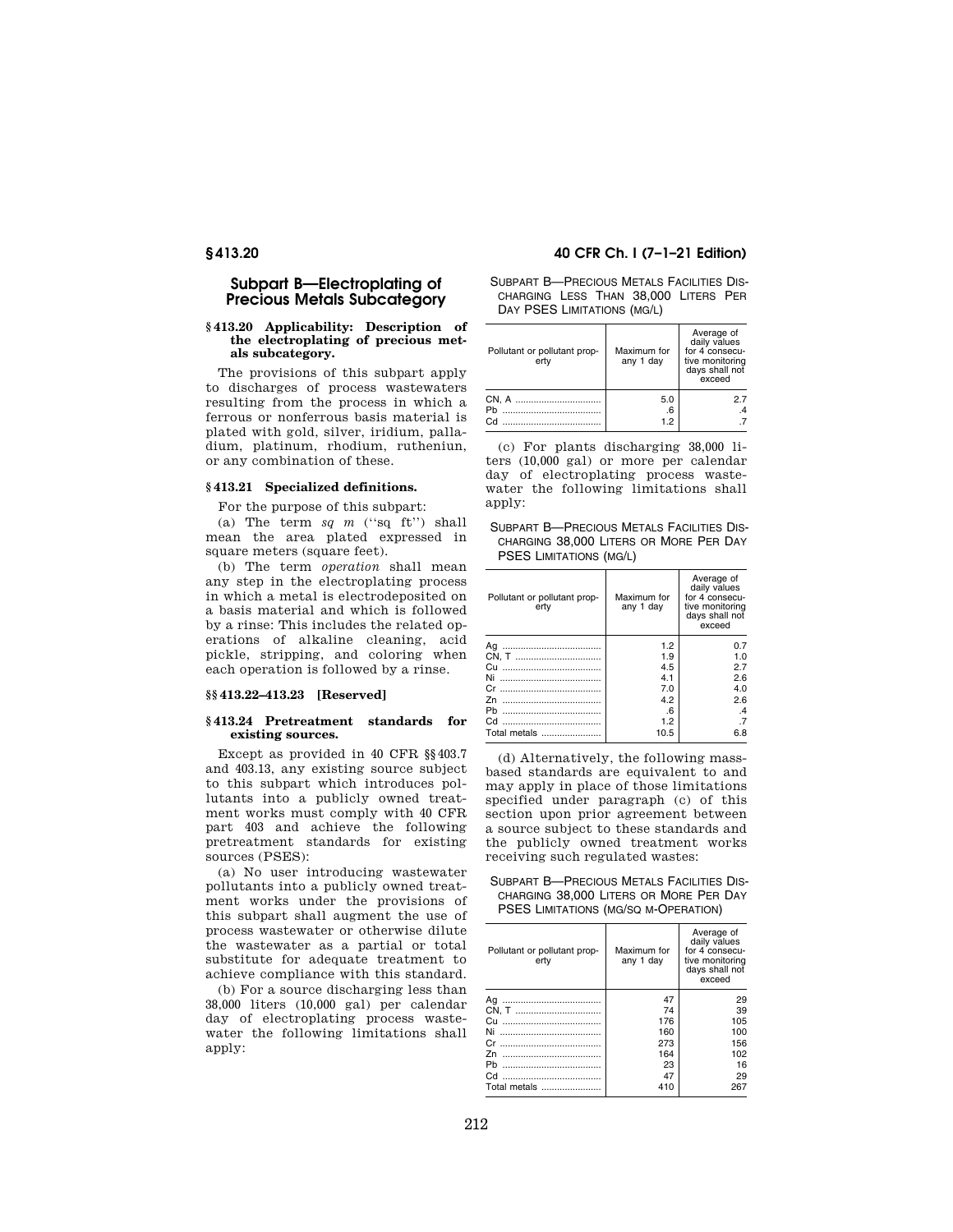# **Subpart B—Electroplating of Precious Metals Subcategory**

## **§ 413.20 Applicability: Description of the electroplating of precious metals subcategory.**

The provisions of this subpart apply to discharges of process wastewaters resulting from the process in which a ferrous or nonferrous basis material is plated with gold, silver, iridium, palladium, platinum, rhodium, rutheniun, or any combination of these.

# **§ 413.21 Specialized definitions.**

For the purpose of this subpart:

(a) The term *sq m* (''sq ft'') shall mean the area plated expressed in square meters (square feet).

(b) The term *operation* shall mean any step in the electroplating process in which a metal is electrodeposited on a basis material and which is followed by a rinse: This includes the related operations of alkaline cleaning, acid pickle, stripping, and coloring when each operation is followed by a rinse.

## **§§ 413.22–413.23 [Reserved]**

### **§ 413.24 Pretreatment standards for existing sources.**

Except as provided in 40 CFR §§403.7 and 403.13, any existing source subject to this subpart which introduces pollutants into a publicly owned treatment works must comply with 40 CFR part 403 and achieve the following pretreatment standards for existing sources (PSES):

(a) No user introducing wastewater pollutants into a publicly owned treatment works under the provisions of this subpart shall augment the use of process wastewater or otherwise dilute the wastewater as a partial or total substitute for adequate treatment to achieve compliance with this standard.

(b) For a source discharging less than 38,000 liters (10,000 gal) per calendar day of electroplating process wastewater the following limitations shall apply:

# **§ 413.20 40 CFR Ch. I (7–1–21 Edition)**

SUBPART B—PRECIOUS METALS FACILITIES DIS-CHARGING LESS THAN 38,000 LITERS PER DAY PSES LIMITATIONS (MG/L)

| Pollutant or pollutant prop-<br>ertv | Maximum for<br>any 1 day | Average of<br>daily values<br>for 4 consecu-<br>tive monitoring<br>days shall not<br>exceed |
|--------------------------------------|--------------------------|---------------------------------------------------------------------------------------------|
|                                      | 5.0                      | 27                                                                                          |
| Ph<br>CH.                            | .6<br>1.2                |                                                                                             |

(c) For plants discharging 38,000 liters (10,000 gal) or more per calendar day of electroplating process wastewater the following limitations shall apply:

SUBPART B—PRECIOUS METALS FACILITIES DIS-CHARGING 38,000 LITERS OR MORE PER DAY PSES LIMITATIONS (MG/L)

| Pollutant or pollutant prop-<br>ertv | Maximum for<br>any 1 day | Average of<br>daily values<br>for 4 consecu-<br>tive monitoring<br>days shall not<br>exceed |
|--------------------------------------|--------------------------|---------------------------------------------------------------------------------------------|
| Aq<br>                               | 1.2                      | 0.7                                                                                         |
|                                      | 1.9                      | 1.0                                                                                         |
| <br>Cu                               | 4.5                      | 2.7                                                                                         |
|                                      | 4.1                      | 2.6                                                                                         |
|                                      | 7.0                      | 4.0                                                                                         |
| 7n                                   | 4.2                      | 2.6                                                                                         |
| Ph                                   | .6                       | $\mathcal{A}$                                                                               |
| Cd                                   | 1.2                      |                                                                                             |
| Total metals                         | 10.5                     | 6.8                                                                                         |

(d) Alternatively, the following massbased standards are equivalent to and may apply in place of those limitations specified under paragraph (c) of this section upon prior agreement between a source subject to these standards and the publicly owned treatment works receiving such regulated wastes:

## SUBPART B—PRECIOUS METALS FACILITIES DIS-CHARGING 38,000 LITERS OR MORE PER DAY PSES LIMITATIONS (MG/SQ M-OPERATION)

| Pollutant or pollutant prop-<br>erty | Maximum for<br>any 1 day | Average of<br>daily values<br>for 4 consecu-<br>tive monitoring<br>days shall not<br>exceed |
|--------------------------------------|--------------------------|---------------------------------------------------------------------------------------------|
|                                      | 47                       | 29                                                                                          |
| CN, T                                | 74                       | 39                                                                                          |
| Сu                                   | 176                      | 105                                                                                         |
| Ni                                   | 160                      | 100                                                                                         |
|                                      | 273                      | 156                                                                                         |
| Zn                                   | 164                      | 102                                                                                         |
| Ph                                   | 23                       | 16                                                                                          |
| Cd<br>                               | 47                       | 29                                                                                          |
| Total metals                         | 410                      | 267                                                                                         |
|                                      |                          |                                                                                             |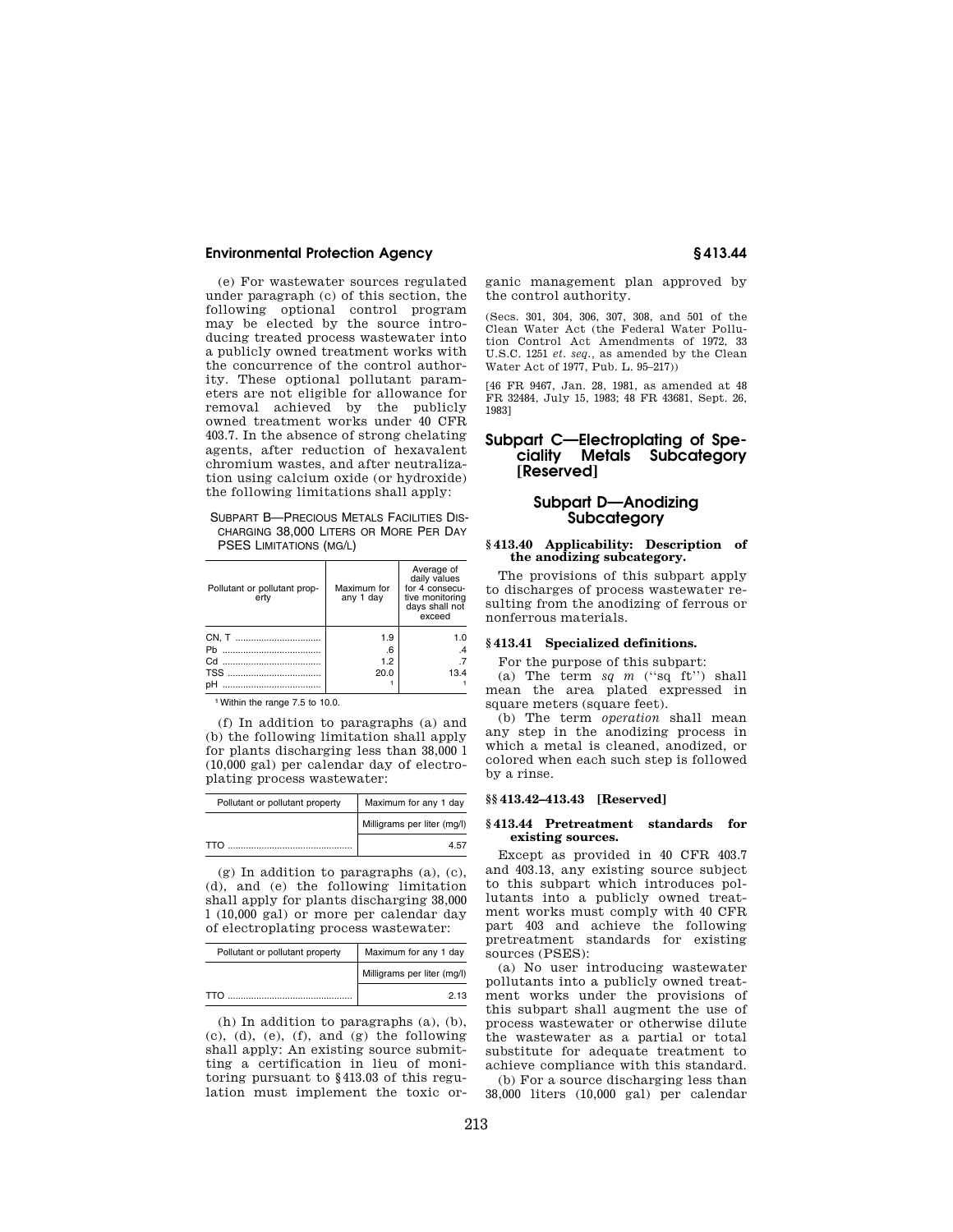(e) For wastewater sources regulated under paragraph (c) of this section, the following optional control program may be elected by the source introducing treated process wastewater into a publicly owned treatment works with the concurrence of the control authority. These optional pollutant parameters are not eligible for allowance for removal achieved by the publicly owned treatment works under 40 CFR 403.7. In the absence of strong chelating agents, after reduction of hexavalent chromium wastes, and after neutralization using calcium oxide (or hydroxide) the following limitations shall apply:

| <b>SUBPART B-PRECIOUS METALS FACILITIES DIS-</b> |
|--------------------------------------------------|
| CHARGING 38,000 LITERS OR MORE PER DAY           |
| <b>PSES LIMITATIONS (MG/L)</b>                   |

| Pollutant or pollutant prop-<br>ertv | Maximum for<br>any 1 day | Average of<br>daily values<br>for 4 consecu-<br>tive monitoring<br>days shall not<br>exceed |
|--------------------------------------|--------------------------|---------------------------------------------------------------------------------------------|
|                                      | 1.9                      | 1.0                                                                                         |
|                                      | .6                       | $\mathcal{A}$                                                                               |
|                                      | 1.2                      |                                                                                             |
|                                      | 20.0                     | 13.4                                                                                        |
|                                      |                          |                                                                                             |

1Within the range 7.5 to 10.0.

(f) In addition to paragraphs (a) and (b) the following limitation shall apply for plants discharging less than 38,000 l (10,000 gal) per calendar day of electroplating process wastewater:

| Pollutant or pollutant property | Maximum for any 1 day       |  |
|---------------------------------|-----------------------------|--|
|                                 | Milligrams per liter (mg/l) |  |
| тто                             | 457                         |  |

(g) In addition to paragraphs (a), (c), (d), and (e) the following limitation shall apply for plants discharging 38,000 l (10,000 gal) or more per calendar day of electroplating process wastewater:

| Pollutant or pollutant property | Maximum for any 1 day       |
|---------------------------------|-----------------------------|
|                                 | Milligrams per liter (mg/l) |
| TTO                             | 2 13                        |

(h) In addition to paragraphs (a), (b), (c), (d), (e), (f), and (g) the following shall apply: An existing source submitting a certification in lieu of monitoring pursuant to §413.03 of this regulation must implement the toxic organic management plan approved by the control authority.

(Secs. 301, 304, 306, 307, 308, and 501 of the Clean Water Act (the Federal Water Pollution Control Act Amendments of 1972, 33 U.S.C. 1251 *et. seq.,* as amended by the Clean Water Act of 1977, Pub. L. 95–217))

[46 FR 9467, Jan. 28, 1981, as amended at 48 FR 32484, July 15, 1983; 48 FR 43681, Sept. 26, 1983]

# **Subpart C—Electroplating of Speciality Metals Subcategory [Reserved]**

# **Subpart D—Anodizing Subcategory**

## **§ 413.40 Applicability: Description of the anodizing subcategory.**

The provisions of this subpart apply to discharges of process wastewater resulting from the anodizing of ferrous or nonferrous materials.

## **§ 413.41 Specialized definitions.**

For the purpose of this subpart:

(a) The term *sq m* (''sq ft'') shall mean the area plated expressed in square meters (square feet).

(b) The term *operation* shall mean any step in the anodizing process in which a metal is cleaned, anodized, or colored when each such step is followed by a rinse.

#### **§§ 413.42–413.43 [Reserved]**

#### **§ 413.44 Pretreatment standards for existing sources.**

Except as provided in 40 CFR 403.7 and 403.13, any existing source subject to this subpart which introduces pollutants into a publicly owned treatment works must comply with 40 CFR part 403 and achieve the following pretreatment standards for existing sources (PSES):

(a) No user introducing wastewater pollutants into a publicly owned treatment works under the provisions of this subpart shall augment the use of process wastewater or otherwise dilute the wastewater as a partial or total substitute for adequate treatment to achieve compliance with this standard.

(b) For a source discharging less than 38,000 liters (10,000 gal) per calendar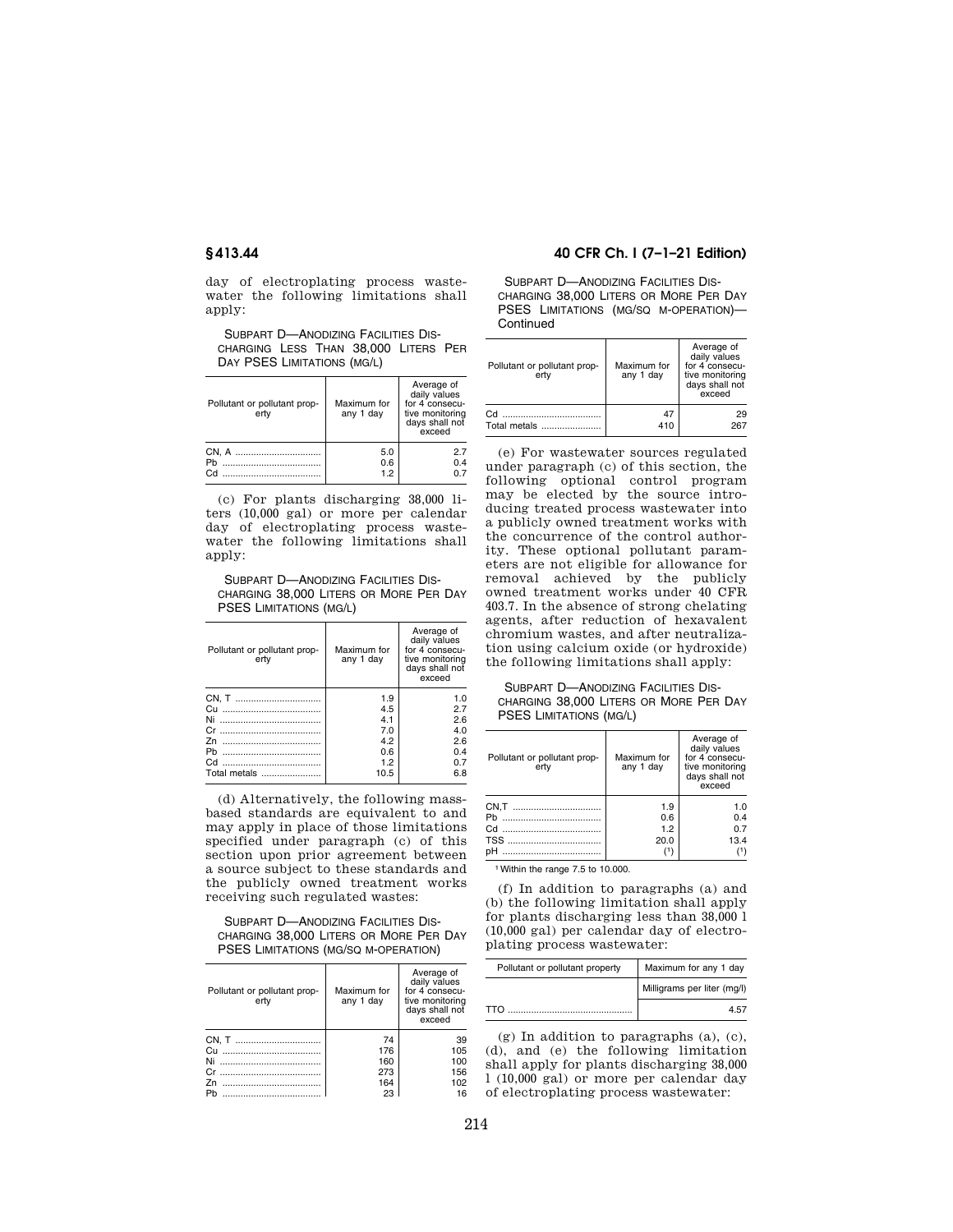day of electroplating process wastewater the following limitations shall apply:

SUBPART D—ANODIZING FACILITIES DIS-CHARGING LESS THAN 38,000 LITERS PER DAY PSES LIMITATIONS (MG/L)

| Pollutant or pollutant prop-<br>ertv | Maximum for<br>any 1 day | Average of<br>daily values<br>for 4 consecu-<br>tive monitoring<br>days shall not<br>exceed |
|--------------------------------------|--------------------------|---------------------------------------------------------------------------------------------|
|                                      | 5.0                      | 2.7                                                                                         |
| Ph                                   | 0.6                      | 0.4                                                                                         |
| Cd                                   | 1.2                      | 07                                                                                          |

(c) For plants discharging 38,000 liters (10,000 gal) or more per calendar day of electroplating process wastewater the following limitations shall apply:

SUBPART D—ANODIZING FACILITIES DIS-CHARGING 38,000 LITERS OR MORE PER DAY PSES LIMITATIONS (MG/L)

| Pollutant or pollutant prop-<br>ertv | Maximum for<br>any 1 day | Average of<br>daily values<br>for 4 consecu-<br>tive monitoring<br>days shall not<br>exceed |
|--------------------------------------|--------------------------|---------------------------------------------------------------------------------------------|
| CN, T                                | 1.9                      | 1.0                                                                                         |
| Сu                                   | 4.5                      | 2.7                                                                                         |
| Ni                                   | 4.1                      | 2.6                                                                                         |
| Cr                                   | 7.0                      | 4.0                                                                                         |
| 7n                                   | 4.2                      | 2.6                                                                                         |
| Ph<br>                               | 0.6                      | 0.4                                                                                         |
| Cd                                   | 1.2                      | 0.7                                                                                         |
| Total metals                         | 10.5                     | 6.8                                                                                         |

(d) Alternatively, the following massbased standards are equivalent to and may apply in place of those limitations specified under paragraph (c) of this section upon prior agreement between a source subject to these standards and the publicly owned treatment works receiving such regulated wastes:

SUBPART D—ANODIZING FACILITIES DIS-CHARGING 38,000 LITERS OR MORE PER DAY PSES LIMITATIONS (MG/SQ M-OPERATION)

| Pollutant or pollutant prop-<br>ertv | Maximum for<br>any 1 day | Average of<br>daily values<br>for 4 consecu-<br>tive monitoring<br>days shall not<br>exceed |
|--------------------------------------|--------------------------|---------------------------------------------------------------------------------------------|
|                                      | 74                       | 39                                                                                          |
| Cн                                   | 176                      | 105                                                                                         |
| Ni                                   | 160                      | 100                                                                                         |
| Cr.<br>                              | 273                      | 156                                                                                         |
| 7n                                   | 164                      | 102                                                                                         |
| Ph<br>                               | 23                       | 16                                                                                          |

# **§ 413.44 40 CFR Ch. I (7–1–21 Edition)**

SUBPART D—ANODIZING FACILITIES DIS-CHARGING 38,000 LITERS OR MORE PER DAY PSES LIMITATIONS (MG/SQ M-OPERATION)— **Continued** 

| Pollutant or pollutant prop-<br>ertv | Maximum for<br>any 1 day | Average of<br>daily values<br>for 4 consecu-<br>tive monitoring<br>days shall not<br>exceed |
|--------------------------------------|--------------------------|---------------------------------------------------------------------------------------------|
| Cd.                                  | 47                       | 29                                                                                          |
| Total metals                         | 410                      | 267                                                                                         |

(e) For wastewater sources regulated under paragraph (c) of this section, the following optional control program may be elected by the source introducing treated process wastewater into a publicly owned treatment works with the concurrence of the control authority. These optional pollutant parameters are not eligible for allowance for removal achieved by the publicly owned treatment works under 40 CFR 403.7. In the absence of strong chelating agents, after reduction of hexavalent chromium wastes, and after neutralization using calcium oxide (or hydroxide) the following limitations shall apply:

## SUBPART D—ANODIZING FACILITIES DIS-CHARGING 38,000 LITERS OR MORE PER DAY PSES LIMITATIONS (MG/L)

| Pollutant or pollutant prop-<br>ertv | Maximum for<br>any 1 day | Average of<br>daily values<br>for 4 consecu-<br>tive monitoring<br>days shall not<br>exceed |
|--------------------------------------|--------------------------|---------------------------------------------------------------------------------------------|
|                                      | 1.9                      | 1.0                                                                                         |
| Ph                                   | 0.6                      | 0.4                                                                                         |
|                                      | 1.2                      | 0.7                                                                                         |
|                                      | 20.0                     | 13.4                                                                                        |
|                                      |                          |                                                                                             |

1Within the range 7.5 to 10.000.

(f) In addition to paragraphs (a) and (b) the following limitation shall apply for plants discharging less than 38,000 l (10,000 gal) per calendar day of electroplating process wastewater:

| Pollutant or pollutant property | Maximum for any 1 day       |
|---------------------------------|-----------------------------|
|                                 | Milligrams per liter (mg/l) |
| <b>TTO</b>                      | 45                          |

(g) In addition to paragraphs (a), (c), (d), and (e) the following limitation shall apply for plants discharging 38,000 l (10,000 gal) or more per calendar day of electroplating process wastewater: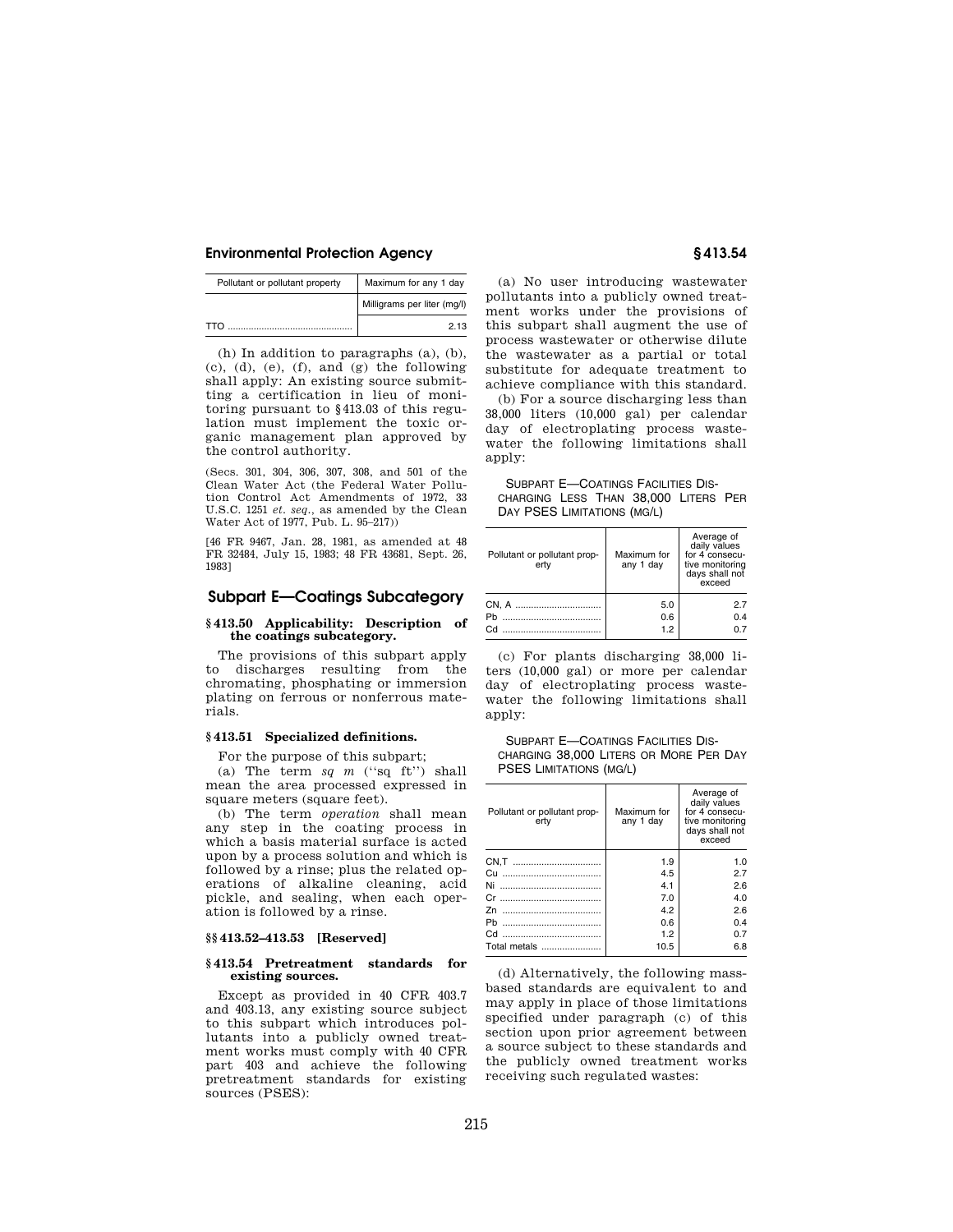| Pollutant or pollutant property | Maximum for any 1 day       |
|---------------------------------|-----------------------------|
|                                 | Milligrams per liter (mg/l) |
| TTO                             | 2 13                        |

(h) In addition to paragraphs (a), (b),  $(c)$ ,  $(d)$ ,  $(e)$ ,  $(f)$ , and  $(g)$  the following shall apply: An existing source submitting a certification in lieu of monitoring pursuant to §413.03 of this regulation must implement the toxic organic management plan approved by the control authority.

(Secs. 301, 304, 306, 307, 308, and 501 of the Clean Water Act (the Federal Water Pollution Control Act Amendments of 1972, 33 U.S.C. 1251 *et. seq.,* as amended by the Clean Water Act of 1977, Pub. L. 95–217))

[46 FR 9467, Jan. 28, 1981, as amended at 48 FR 32484, July 15, 1983; 48 FR 43681, Sept. 26, 1983]

# **Subpart E—Coatings Subcategory**

## **§ 413.50 Applicability: Description of the coatings subcategory.**

The provisions of this subpart apply to discharges resulting from the chromating, phosphating or immersion plating on ferrous or nonferrous materials.

## **§ 413.51 Specialized definitions.**

For the purpose of this subpart;

(a) The term  $sq$   $m$  ("sq ft") shall mean the area processed expressed in square meters (square feet).

(b) The term *operation* shall mean any step in the coating process in which a basis material surface is acted upon by a process solution and which is followed by a rinse; plus the related operations of alkaline cleaning, acid pickle, and sealing, when each operation is followed by a rinse.

## **§§ 413.52–413.53 [Reserved]**

#### **§ 413.54 Pretreatment standards for existing sources.**

Except as provided in 40 CFR 403.7 and 403.13, any existing source subject to this subpart which introduces pollutants into a publicly owned treatment works must comply with 40 CFR part 403 and achieve the following pretreatment standards for existing sources (PSES):

(a) No user introducing wastewater pollutants into a publicly owned treatment works under the provisions of this subpart shall augment the use of process wastewater or otherwise dilute the wastewater as a partial or total substitute for adequate treatment to achieve compliance with this standard.

(b) For a source discharging less than 38,000 liters (10,000 gal) per calendar day of electroplating process wastewater the following limitations shall apply:

SUBPART E—COATINGS FACILITIES DIS-CHARGING LESS THAN 38,000 LITERS PER DAY PSES LIMITATIONS (MG/L)

| Pollutant or pollutant prop-<br>ertv | Maximum for<br>any 1 day | Average of<br>daily values<br>for 4 consecu-<br>tive monitoring<br>days shall not<br>exceed |
|--------------------------------------|--------------------------|---------------------------------------------------------------------------------------------|
|                                      | 5.0                      | 27                                                                                          |
|                                      | 0.6                      | 0.4                                                                                         |
| C.H                                  | 1.2                      | 07                                                                                          |

(c) For plants discharging 38,000 liters (10,000 gal) or more per calendar day of electroplating process wastewater the following limitations shall apply:

SUBPART E—COATINGS FACILITIES DIS-CHARGING 38,000 LITERS OR MORE PER DAY PSES LIMITATIONS (MG/L)

| Pollutant or pollutant prop-<br>ertv | Maximum for<br>any 1 day | Average of<br>daily values<br>for 4 consecu-<br>tive monitoring<br>days shall not<br>exceed |
|--------------------------------------|--------------------------|---------------------------------------------------------------------------------------------|
|                                      | 1.9                      | 1.0                                                                                         |
| Cu<br>                               | 4.5                      | 2.7                                                                                         |
|                                      | 4.1                      | 2.6                                                                                         |
|                                      | 7.0                      | 4.0                                                                                         |
|                                      | 4.2                      | 2.6                                                                                         |
| <br>Ph                               | 0.6                      | 0.4                                                                                         |
|                                      | 1.2                      | 0.7                                                                                         |
| Total metals                         | 10.5                     | 6.8                                                                                         |

(d) Alternatively, the following massbased standards are equivalent to and may apply in place of those limitations specified under paragraph (c) of this section upon prior agreement between a source subject to these standards and the publicly owned treatment works receiving such regulated wastes: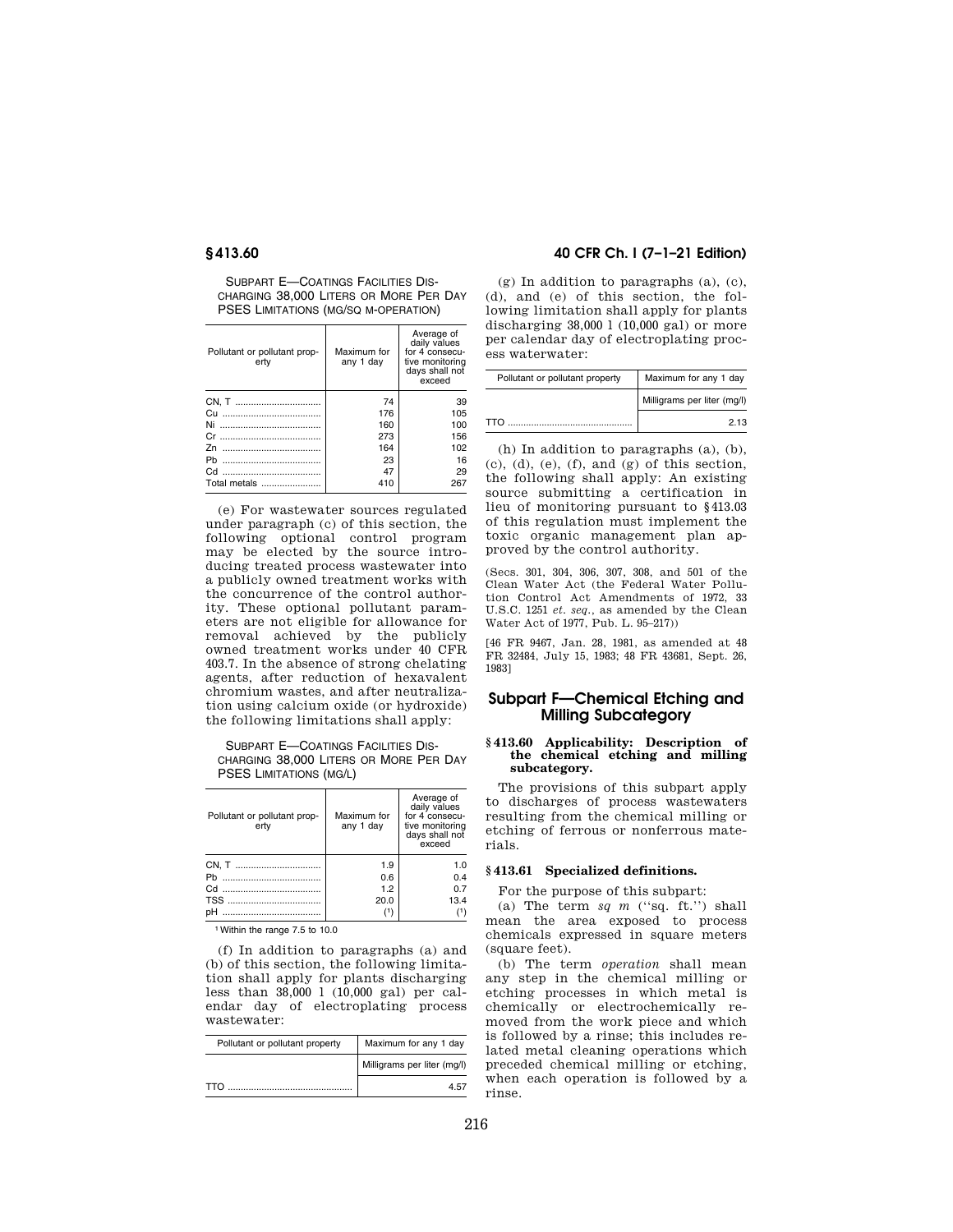SUBPART E—COATINGS FACILITIES DIS-CHARGING 38,000 LITERS OR MORE PER DAY PSES LIMITATIONS (MG/SQ M-OPERATION)

| Pollutant or pollutant prop-<br>ertv | Maximum for<br>any 1 day | Average of<br>daily values<br>for 4 consecu-<br>tive monitoring<br>days shall not<br>exceed |
|--------------------------------------|--------------------------|---------------------------------------------------------------------------------------------|
| CN, T                                | 74                       | 39                                                                                          |
|                                      | 176                      | 105                                                                                         |
| <br>Ni                               | 160                      | 100                                                                                         |
|                                      | 273                      | 156                                                                                         |
| 7n                                   | 164                      | 102                                                                                         |
| Ph                                   | 23                       | 16                                                                                          |
|                                      | 47                       | 29                                                                                          |
| Total metals                         | 410                      | 267                                                                                         |

(e) For wastewater sources regulated under paragraph (c) of this section, the following optional control program may be elected by the source introducing treated process wastewater into a publicly owned treatment works with the concurrence of the control authority. These optional pollutant parameters are not eligible for allowance for removal achieved by the publicly owned treatment works under 40 CFR 403.7. In the absence of strong chelating agents, after reduction of hexavalent chromium wastes, and after neutralization using calcium oxide (or hydroxide) the following limitations shall apply:

SUBPART E—COATINGS FACILITIES DIS-CHARGING 38,000 LITERS OR MORE PER DAY PSES LIMITATIONS (MG/L)

| Pollutant or pollutant prop-<br>ertv | Maximum for<br>any 1 day | Average of<br>daily values<br>for 4 consecu-<br>tive monitoring<br>days shall not<br>exceed |
|--------------------------------------|--------------------------|---------------------------------------------------------------------------------------------|
| CN, T                                | 1.9                      | 1.0                                                                                         |
|                                      | 0.6                      | 0.4                                                                                         |
|                                      | 1.2                      | 0.7                                                                                         |
|                                      | 20.0                     | 13.4                                                                                        |
| pН                                   |                          |                                                                                             |

1Within the range 7.5 to 10.0

(f) In addition to paragraphs (a) and (b) of this section, the following limitation shall apply for plants discharging less than 38,000 l (10,000 gal) per calendar day of electroplating process wastewater:

| Pollutant or pollutant property | Maximum for any 1 day       |
|---------------------------------|-----------------------------|
|                                 | Milligrams per liter (mg/l) |
| TTN                             | 45.                         |

# **§ 413.60 40 CFR Ch. I (7–1–21 Edition)**

(g) In addition to paragraphs (a), (c), (d), and (e) of this section, the following limitation shall apply for plants discharging 38,000 l (10,000 gal) or more per calendar day of electroplating process waterwater:

| Pollutant or pollutant property | Maximum for any 1 day       |
|---------------------------------|-----------------------------|
|                                 | Milligrams per liter (mg/l) |
| TTO                             | 2 13                        |

(h) In addition to paragraphs (a), (b),  $(c)$ ,  $(d)$ ,  $(e)$ ,  $(f)$ , and  $(g)$  of this section, the following shall apply: An existing source submitting a certification in lieu of monitoring pursuant to §413.03 of this regulation must implement the toxic organic management plan approved by the control authority.

(Secs. 301, 304, 306, 307, 308, and 501 of the Clean Water Act (the Federal Water Pollution Control Act Amendments of 1972, 33 U.S.C. 1251 *et. seq.,* as amended by the Clean Water Act of 1977, Pub. L. 95–217))

[46 FR 9467, Jan. 28, 1981, as amended at 48 FR 32484, July 15, 1983; 48 FR 43681, Sept. 26, 1983]

# **Subpart F—Chemical Etching and Milling Subcategory**

### **§ 413.60 Applicability: Description of the chemical etching and milling subcategory.**

The provisions of this subpart apply to discharges of process wastewaters resulting from the chemical milling or etching of ferrous or nonferrous materials.

# **§ 413.61 Specialized definitions.**

For the purpose of this subpart:

(a) The term  $sq$   $m$  ("sq. ft.") shall mean the area exposed to process chemicals expressed in square meters (square feet).

(b) The term *operation* shall mean any step in the chemical milling or etching processes in which metal is chemically or electrochemically removed from the work piece and which is followed by a rinse; this includes related metal cleaning operations which preceded chemical milling or etching, when each operation is followed by a rinse.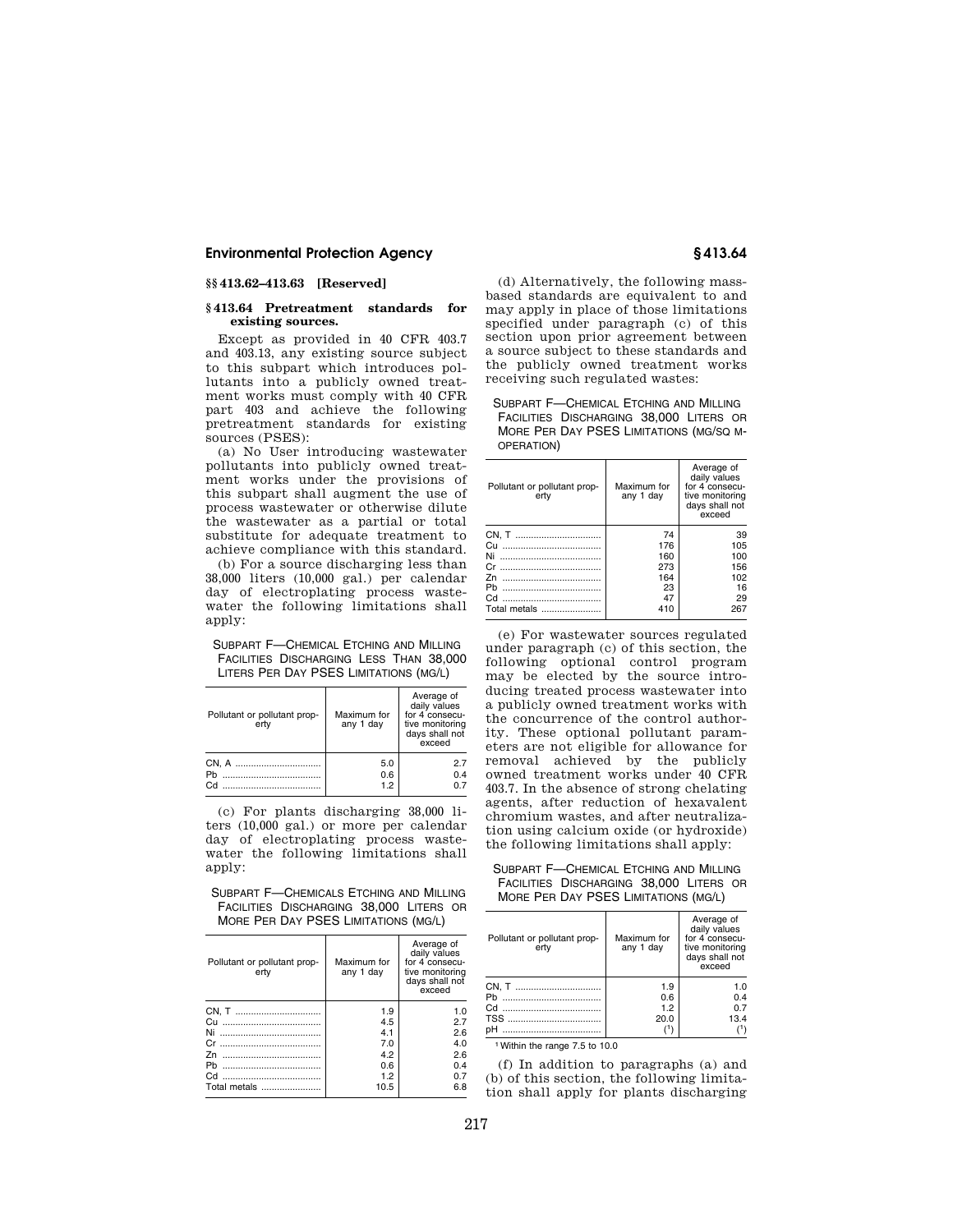# **§§ 413.62–413.63 [Reserved]**

## **§ 413.64 Pretreatment standards for existing sources.**

Except as provided in 40 CFR 403.7 and 403.13, any existing source subject to this subpart which introduces pollutants into a publicly owned treatment works must comply with 40 CFR part 403 and achieve the following pretreatment standards for existing sources (PSES):

(a) No User introducing wastewater pollutants into publicly owned treatment works under the provisions of this subpart shall augment the use of process wastewater or otherwise dilute the wastewater as a partial or total substitute for adequate treatment to achieve compliance with this standard.

(b) For a source discharging less than 38,000 liters (10,000 gal.) per calendar day of electroplating process wastewater the following limitations shall apply:

SUBPART F—CHEMICAL ETCHING AND MILLING FACILITIES DISCHARGING LESS THAN 38,000 LITERS PER DAY PSES LIMITATIONS (MG/L)

| Pollutant or pollutant prop-<br>ertv | Maximum for<br>any 1 day | Average of<br>daily values<br>for 4 consecu-<br>tive monitoring<br>days shall not<br>exceed |
|--------------------------------------|--------------------------|---------------------------------------------------------------------------------------------|
|                                      | 5.0                      | 2.7                                                                                         |
| Ph                                   | 0.6                      | 0.4                                                                                         |
| Cd                                   | 1.2                      | 07                                                                                          |

(c) For plants discharging 38,000 liters (10,000 gal.) or more per calendar day of electroplating process wastewater the following limitations shall apply:

SUBPART F—CHEMICALS ETCHING AND MILLING FACILITIES DISCHARGING 38,000 LITERS OR MORE PER DAY PSES LIMITATIONS (MG/L)

| Pollutant or pollutant prop-<br>ertv | Maximum for<br>any 1 day | Average of<br>daily values<br>for 4 consecu-<br>tive monitoring<br>days shall not<br>exceed |
|--------------------------------------|--------------------------|---------------------------------------------------------------------------------------------|
|                                      | 1.9                      | 1.0                                                                                         |
| Cu                                   | 4.5                      | 2.7                                                                                         |
| <br>Ni                               | 4.1                      | 2.6                                                                                         |
| Cr.                                  | 7.0                      | 4.0                                                                                         |
|                                      | 4.2                      | 2.6                                                                                         |
| Ph                                   | 0.6                      | 0.4                                                                                         |
|                                      | 1.2                      | 0.7                                                                                         |
| Total metals                         | 10.5                     | 6.8                                                                                         |

(d) Alternatively, the following massbased standards are equivalent to and may apply in place of those limitations specified under paragraph (c) of this section upon prior agreement between a source subject to these standards and the publicly owned treatment works receiving such regulated wastes:

### SUBPART F—CHEMICAL ETCHING AND MILLING FACILITIES DISCHARGING 38,000 LITERS OR MORE PER DAY PSES LIMITATIONS (MG/SQ M-OPERATION)

| Pollutant or pollutant prop-<br>erty | Maximum for<br>any 1 day | Average of<br>daily values<br>for 4 consecu-<br>tive monitoring<br>days shall not<br>exceed |
|--------------------------------------|--------------------------|---------------------------------------------------------------------------------------------|
| CN, T                                | 74                       | 39                                                                                          |
| Cu                                   | 176                      | 105                                                                                         |
|                                      | 160                      | 100                                                                                         |
|                                      | 273                      | 156                                                                                         |
|                                      | 164                      | 102                                                                                         |
| Ph                                   | 23                       | 16                                                                                          |
|                                      | 47                       | 29                                                                                          |
| Total metals                         | 410                      | 267                                                                                         |

(e) For wastewater sources regulated under paragraph (c) of this section, the following optional control program may be elected by the source introducing treated process wastewater into a publicly owned treatment works with the concurrence of the control authority. These optional pollutant parameters are not eligible for allowance for removal achieved by the publicly owned treatment works under 40 CFR 403.7. In the absence of strong chelating agents, after reduction of hexavalent chromium wastes, and after neutralization using calcium oxide (or hydroxide) the following limitations shall apply:

SUBPART F—CHEMICAL ETCHING AND MILLING FACILITIES DISCHARGING 38,000 LITERS OR MORE PER DAY PSES LIMITATIONS (MG/L)

| Pollutant or pollutant prop-<br>ertv | Maximum for<br>any 1 day | Average of<br>daily values<br>for 4 consecu-<br>tive monitoring<br>days shall not<br>exceed |
|--------------------------------------|--------------------------|---------------------------------------------------------------------------------------------|
| CN, T                                | 1.9                      | 1.0                                                                                         |
|                                      | 0.6                      | 0.4                                                                                         |
|                                      | 1.2                      | 0.7                                                                                         |
|                                      | 20.0                     | 13.4                                                                                        |
| nН                                   | (1                       | (1)                                                                                         |

Within the range 7.5 to 10.0

(f) In addition to paragraphs (a) and (b) of this section, the following limitation shall apply for plants discharging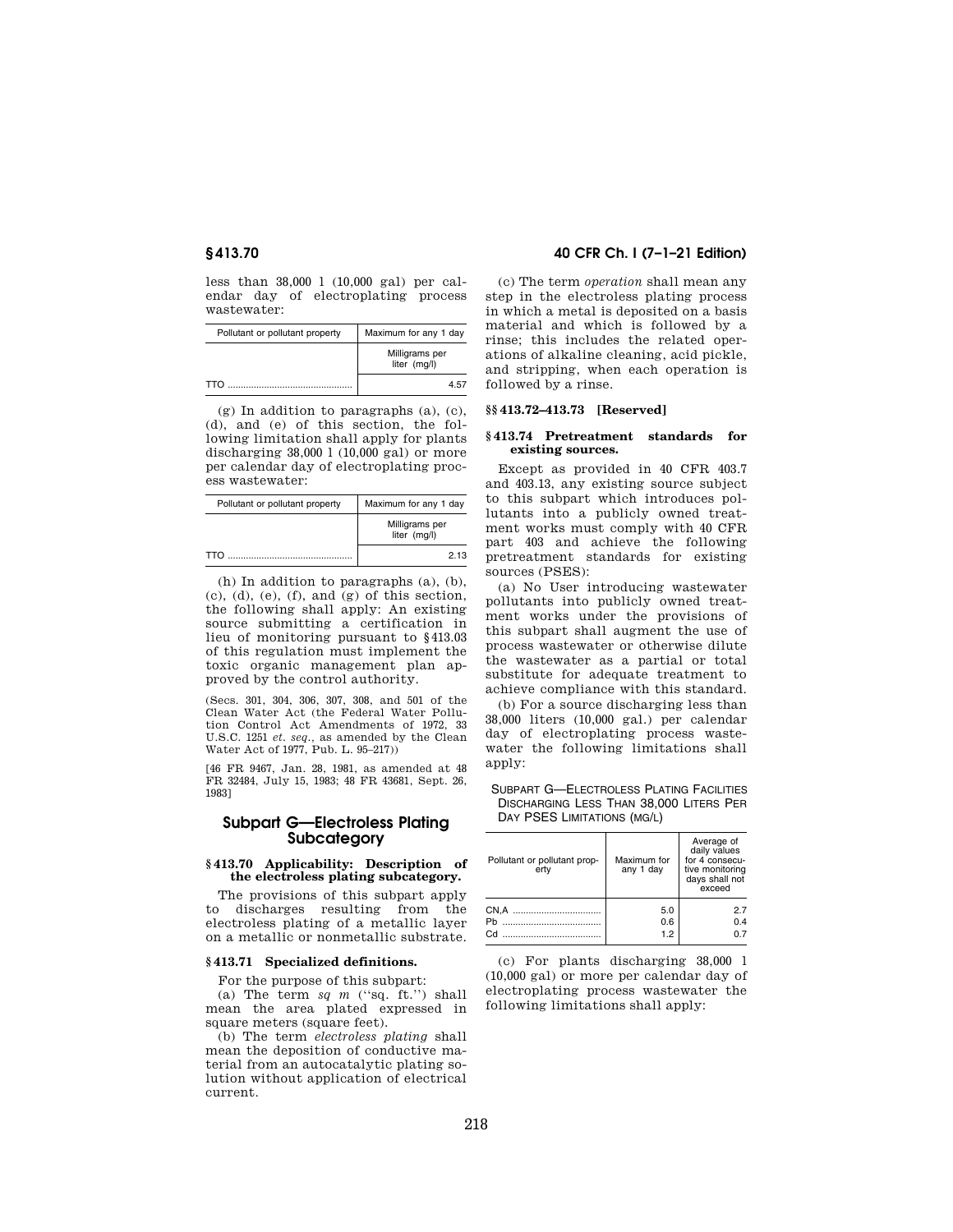less than 38,000 l (10,000 gal) per calendar day of electroplating process wastewater:

| Pollutant or pollutant property | Maximum for any 1 day          |  |
|---------------------------------|--------------------------------|--|
|                                 | Milligrams per<br>liter (mg/l) |  |
| <b>TTO</b>                      | 457                            |  |

(g) In addition to paragraphs (a), (c), (d), and (e) of this section, the following limitation shall apply for plants discharging 38,000 l (10,000 gal) or more per calendar day of electroplating process wastewater:

| Pollutant or pollutant property | Maximum for any 1 day          |  |
|---------------------------------|--------------------------------|--|
|                                 | Milligrams per<br>liter (mg/l) |  |
|                                 | 2.13                           |  |

(h) In addition to paragraphs (a), (b),  $(c)$ ,  $(d)$ ,  $(e)$ ,  $(f)$ , and  $(g)$  of this section, the following shall apply: An existing source submitting a certification in lieu of monitoring pursuant to §413.03 of this regulation must implement the toxic organic management plan approved by the control authority.

(Secs. 301, 304, 306, 307, 308, and 501 of the Clean Water Act (the Federal Water Pollution Control Act Amendments of 1972, 33 U.S.C. 1251 *et. seq.,* as amended by the Clean Water Act of 1977, Pub. L. 95–217))

[46 FR 9467, Jan. 28, 1981, as amended at 48 FR 32484, July 15, 1983; 48 FR 43681, Sept. 26, 1983]

# **Subpart G—Electroless Plating Subcategory**

## **§ 413.70 Applicability: Description of the electroless plating subcategory.**

The provisions of this subpart apply to discharges resulting from the electroless plating of a metallic layer on a metallic or nonmetallic substrate.

### **§ 413.71 Specialized definitions.**

For the purpose of this subpart:

(a) The term  $sq$  *m* ("sq. ft.") shall mean the area plated expressed in square meters (square feet).

(b) The term *electroless plating* shall mean the deposition of conductive material from an autocatalytic plating solution without application of electrical current.

# **§ 413.70 40 CFR Ch. I (7–1–21 Edition)**

(c) The term *operation* shall mean any step in the electroless plating process in which a metal is deposited on a basis material and which is followed by a rinse; this includes the related operations of alkaline cleaning, acid pickle, and stripping, when each operation is followed by a rinse.

## **§§ 413.72–413.73 [Reserved]**

### **§ 413.74 Pretreatment standards for existing sources.**

Except as provided in 40 CFR 403.7 and 403.13, any existing source subject to this subpart which introduces pollutants into a publicly owned treatment works must comply with 40 CFR part 403 and achieve the following pretreatment standards for existing sources (PSES):

(a) No User introducing wastewater pollutants into publicly owned treatment works under the provisions of this subpart shall augment the use of process wastewater or otherwise dilute the wastewater as a partial or total substitute for adequate treatment to achieve compliance with this standard.

(b) For a source discharging less than 38,000 liters (10,000 gal.) per calendar day of electroplating process wastewater the following limitations shall apply:

SUBPART G—ELECTROLESS PLATING FACILITIES DISCHARGING LESS THAN 38,000 LITERS PER DAY PSES LIMITATIONS (MG/L)

| Pollutant or pollutant prop-<br>ertv | Maximum for<br>any 1 day | Average of<br>daily values<br>for 4 consecu-<br>tive monitoring<br>days shall not<br>exceed |
|--------------------------------------|--------------------------|---------------------------------------------------------------------------------------------|
|                                      | 5.0                      | 27                                                                                          |
| Ph.                                  | 0.6                      | 0.4                                                                                         |
|                                      | 1.2                      | 07                                                                                          |

(c) For plants discharging 38,000 l (10,000 gal) or more per calendar day of electroplating process wastewater the following limitations shall apply: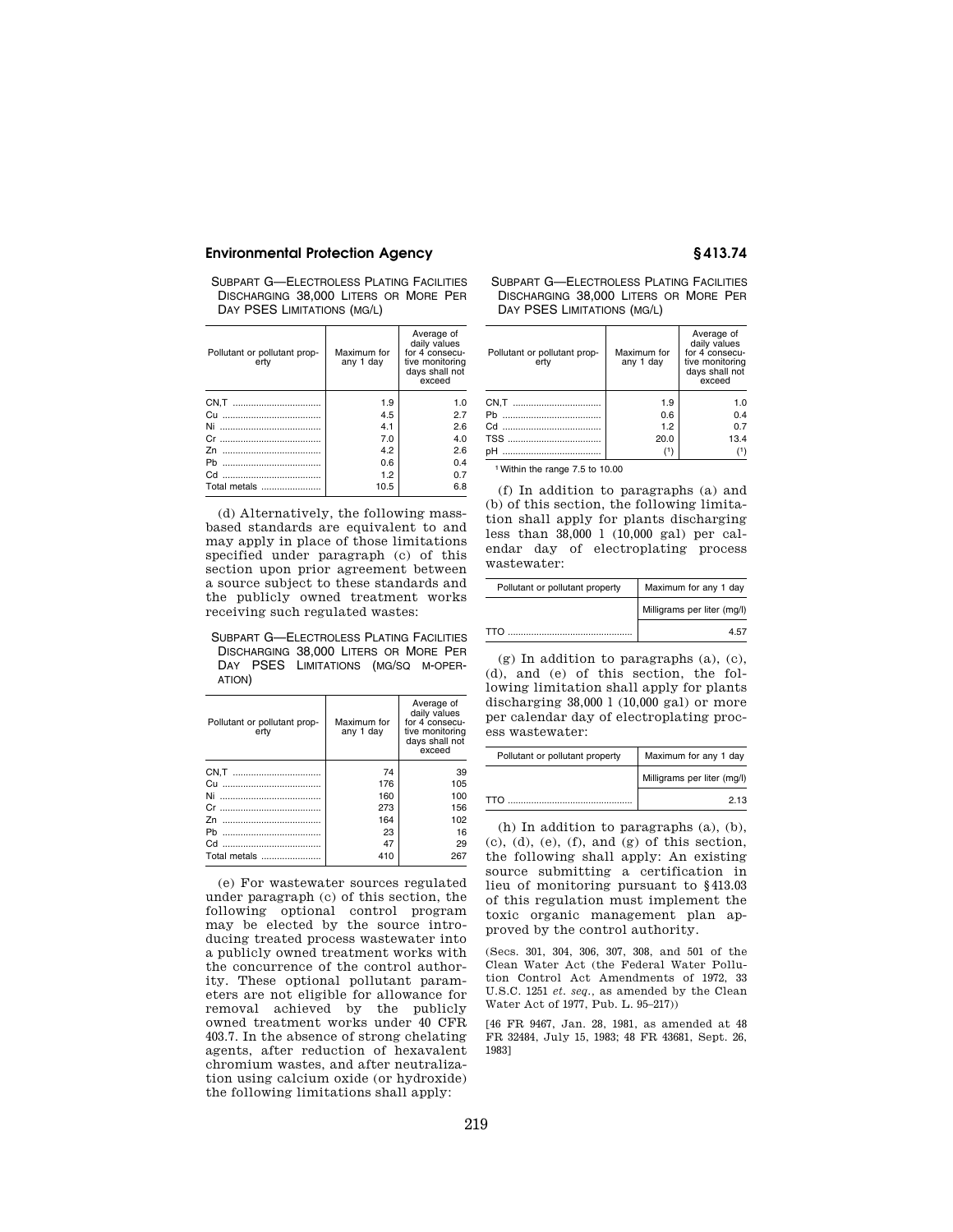SUBPART G—ELECTROLESS PLATING FACILITIES DISCHARGING 38,000 LITERS OR MORE PER DAY PSES LIMITATIONS (MG/L)

| Pollutant or pollutant prop-<br>ertv | Maximum for<br>any 1 day | Average of<br>daily values<br>for 4 consecu-<br>tive monitoring<br>days shall not<br>exceed |
|--------------------------------------|--------------------------|---------------------------------------------------------------------------------------------|
|                                      | 1.9                      | 1.0                                                                                         |
|                                      | 4.5                      | 2.7                                                                                         |
| Ni<br>                               | 4.1                      | 2.6                                                                                         |
|                                      | 7.0                      | 4.0                                                                                         |
| <br>7n                               | 4.2                      | 2.6                                                                                         |
|                                      | 0.6                      | 0.4                                                                                         |
|                                      | 1.2                      | 0.7                                                                                         |
| Total metals                         | 10.5                     | 6.8                                                                                         |

(d) Alternatively, the following massbased standards are equivalent to and may apply in place of those limitations specified under paragraph (c) of this section upon prior agreement between a source subject to these standards and the publicly owned treatment works receiving such regulated wastes:

SUBPART G—ELECTROLESS PLATING FACILITIES DISCHARGING 38,000 LITERS OR MORE PER DAY PSES LIMITATIONS (MG/SQ M-OPER-ATION)

| Pollutant or pollutant prop-<br>ertv | Maximum for<br>any 1 day | Average of<br>daily values<br>for 4 consecu-<br>tive monitoring<br>days shall not<br>exceed |
|--------------------------------------|--------------------------|---------------------------------------------------------------------------------------------|
|                                      | 74                       | 39                                                                                          |
|                                      | 176                      | 105                                                                                         |
| Ni<br>                               | 160                      | 100                                                                                         |
|                                      | 273                      | 156                                                                                         |
|                                      | 164                      | 102                                                                                         |
| Ph.<br>                              | 23                       | 16                                                                                          |
|                                      | 47                       | 29                                                                                          |
| Total metals                         | 410                      | 267                                                                                         |

(e) For wastewater sources regulated under paragraph (c) of this section, the following optional control program may be elected by the source introducing treated process wastewater into a publicly owned treatment works with the concurrence of the control authority. These optional pollutant parameters are not eligible for allowance for removal achieved by the publicly owned treatment works under 40 CFR 403.7. In the absence of strong chelating agents, after reduction of hexavalent chromium wastes, and after neutralization using calcium oxide (or hydroxide) the following limitations shall apply:

SUBPART G—ELECTROLESS PLATING FACILITIES DISCHARGING 38,000 LITERS OR MORE PER DAY PSES LIMITATIONS (MG/L)

| Pollutant or pollutant prop-<br>ertv | Maximum for<br>any 1 day | Average of<br>daily values<br>for 4 consecu-<br>tive monitoring<br>days shall not<br>exceed |
|--------------------------------------|--------------------------|---------------------------------------------------------------------------------------------|
|                                      | 1.9                      | 1.0                                                                                         |
|                                      | 0.6                      | 0.4                                                                                         |
|                                      | 1.2                      | 0.7                                                                                         |
|                                      | 20.0                     | 13.4                                                                                        |
|                                      |                          | (1)                                                                                         |

1Within the range 7.5 to 10.00

(f) In addition to paragraphs (a) and (b) of this section, the following limitation shall apply for plants discharging less than 38,000 l (10,000 gal) per calendar day of electroplating process wastewater:

| Pollutant or pollutant property | Maximum for any 1 day       |
|---------------------------------|-----------------------------|
|                                 | Milligrams per liter (mg/l) |
| TTN                             | 4 h                         |

(g) In addition to paragraphs (a), (c), (d), and (e) of this section, the following limitation shall apply for plants discharging 38,000 l (10,000 gal) or more per calendar day of electroplating process wastewater:

| Pollutant or pollutant property | Maximum for any 1 day       |
|---------------------------------|-----------------------------|
|                                 | Milligrams per liter (mg/l) |
| <b>TTO</b>                      | 2 13                        |

(h) In addition to paragraphs (a), (b),  $(c)$ ,  $(d)$ ,  $(e)$ ,  $(f)$ , and  $(g)$  of this section, the following shall apply: An existing source submitting a certification in lieu of monitoring pursuant to §413.03 of this regulation must implement the toxic organic management plan approved by the control authority.

(Secs. 301, 304, 306, 307, 308, and 501 of the Clean Water Act (the Federal Water Pollution Control Act Amendments of 1972, 33 U.S.C. 1251 *et. seq.,* as amended by the Clean Water Act of 1977, Pub. L. 95–217))

[46 FR 9467, Jan. 28, 1981, as amended at 48 FR 32484, July 15, 1983; 48 FR 43681, Sept. 26, 1983]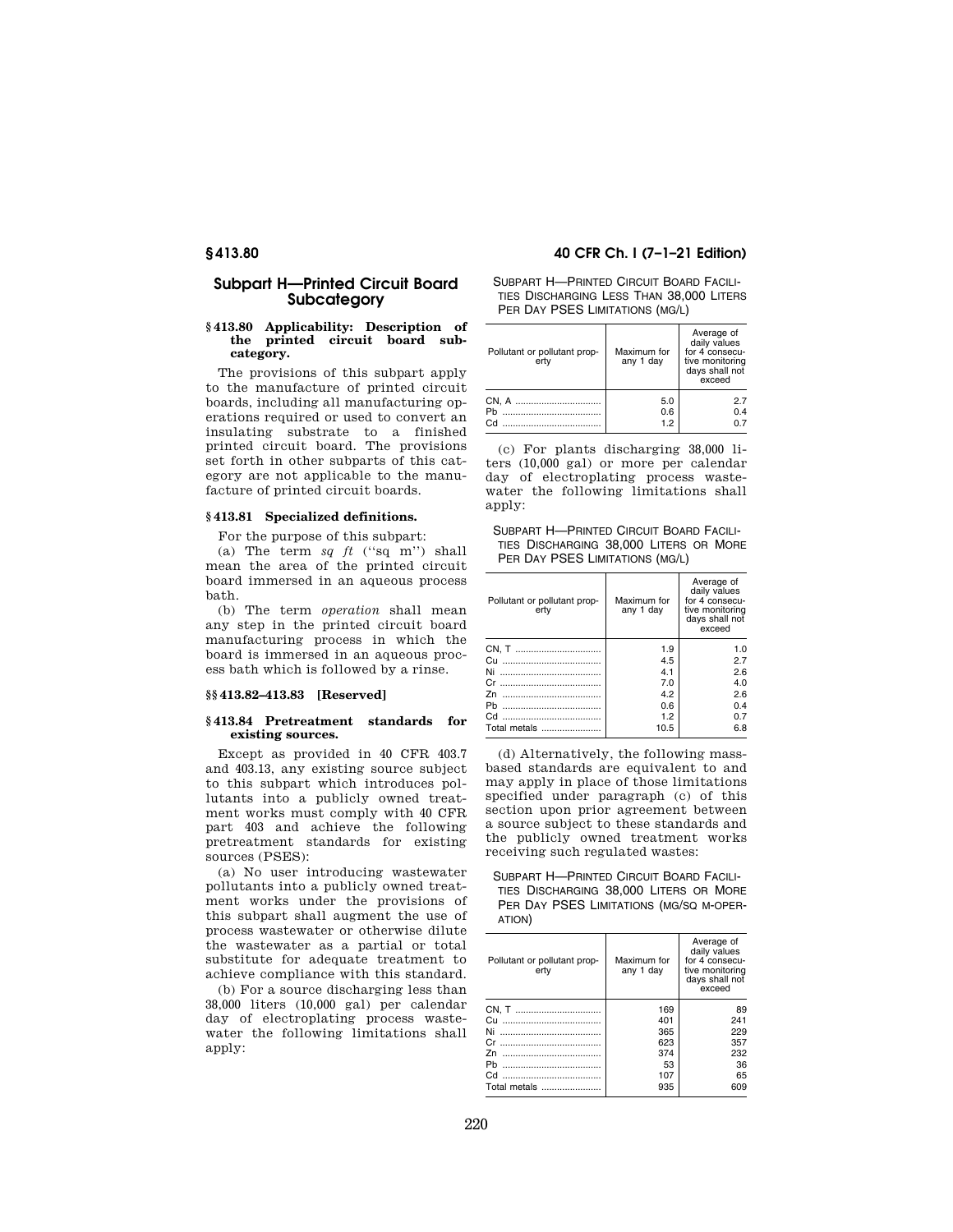# **Subpart H—Printed Circuit Board Subcategory**

## **§ 413.80 Applicability: Description of the printed circuit board subcategory.**

The provisions of this subpart apply to the manufacture of printed circuit boards, including all manufacturing operations required or used to convert an insulating substrate to a finished printed circuit board. The provisions set forth in other subparts of this category are not applicable to the manufacture of printed circuit boards.

#### **§ 413.81 Specialized definitions.**

For the purpose of this subpart:

(a) The term  $sq$   $ft$  ("sq m") shall mean the area of the printed circuit board immersed in an aqueous process bath.

(b) The term *operation* shall mean any step in the printed circuit board manufacturing process in which the board is immersed in an aqueous process bath which is followed by a rinse.

## **§§ 413.82–413.83 [Reserved]**

### **§ 413.84 Pretreatment standards for existing sources.**

Except as provided in 40 CFR 403.7 and 403.13, any existing source subject to this subpart which introduces pollutants into a publicly owned treatment works must comply with 40 CFR part 403 and achieve the following pretreatment standards for existing sources (PSES):

(a) No user introducing wastewater pollutants into a publicly owned treatment works under the provisions of this subpart shall augment the use of process wastewater or otherwise dilute the wastewater as a partial or total substitute for adequate treatment to achieve compliance with this standard.

(b) For a source discharging less than 38,000 liters (10,000 gal) per calendar day of electroplating process wastewater the following limitations shall apply:

# **§ 413.80 40 CFR Ch. I (7–1–21 Edition)**

SUBPART H—PRINTED CIRCUIT BOARD FACILI-TIES DISCHARGING LESS THAN 38,000 LITERS PER DAY PSES LIMITATIONS (MG/L)

| Pollutant or pollutant prop-<br>ertv | Maximum for<br>any 1 day | Average of<br>daily values<br>for 4 consecu-<br>tive monitoring<br>days shall not<br>exceed |
|--------------------------------------|--------------------------|---------------------------------------------------------------------------------------------|
|                                      | 5.0                      | 27                                                                                          |
| Ph                                   | 0.6                      | 0.4                                                                                         |
| Cd                                   | 1.2                      | 07                                                                                          |

(c) For plants discharging 38,000 liters (10,000 gal) or more per calendar day of electroplating process wastewater the following limitations shall apply:

SUBPART H—PRINTED CIRCUIT BOARD FACILI-TIES DISCHARGING 38,000 LITERS OR MORE PER DAY PSES LIMITATIONS (MG/L)

| Pollutant or pollutant prop-<br>ertv | Maximum for<br>any 1 day | Average of<br>daily values<br>for 4 consecu-<br>tive monitoring<br>days shall not<br>exceed |
|--------------------------------------|--------------------------|---------------------------------------------------------------------------------------------|
|                                      | 1.9                      | 1.0                                                                                         |
|                                      | 4.5                      | 2.7                                                                                         |
| Ni                                   | 4.1                      | 2.6                                                                                         |
| Cr.<br>                              | 7.0                      | 4.0                                                                                         |
|                                      | 4.2                      | 2.6                                                                                         |
| Ph<br>                               | 0.6                      | 0.4                                                                                         |
|                                      | 1.2                      | 0.7                                                                                         |
| Total metals                         | 10.5                     | 6.8                                                                                         |

(d) Alternatively, the following massbased standards are equivalent to and may apply in place of those limitations specified under paragraph (c) of this section upon prior agreement between a source subject to these standards and the publicly owned treatment works receiving such regulated wastes:

SUBPART H—PRINTED CIRCUIT BOARD FACILI-TIES DISCHARGING 38,000 LITERS OR MORE PER DAY PSES LIMITATIONS (MG/SQ M-OPER-ATION)

| Pollutant or pollutant prop-<br>ertv | Maximum for<br>any 1 day | Average of<br>daily values<br>for 4 consecu-<br>tive monitoring<br>days shall not<br>exceed |
|--------------------------------------|--------------------------|---------------------------------------------------------------------------------------------|
|                                      | 169                      | 89                                                                                          |
| Cu                                   | 401                      | 241                                                                                         |
|                                      | 365                      | 229                                                                                         |
| Cr.                                  | 623                      | 357                                                                                         |
|                                      | 374                      | 232                                                                                         |
| Ph                                   | 53                       | 36                                                                                          |
|                                      | 107                      | 65                                                                                          |
| Total metals                         | 935                      | 609                                                                                         |